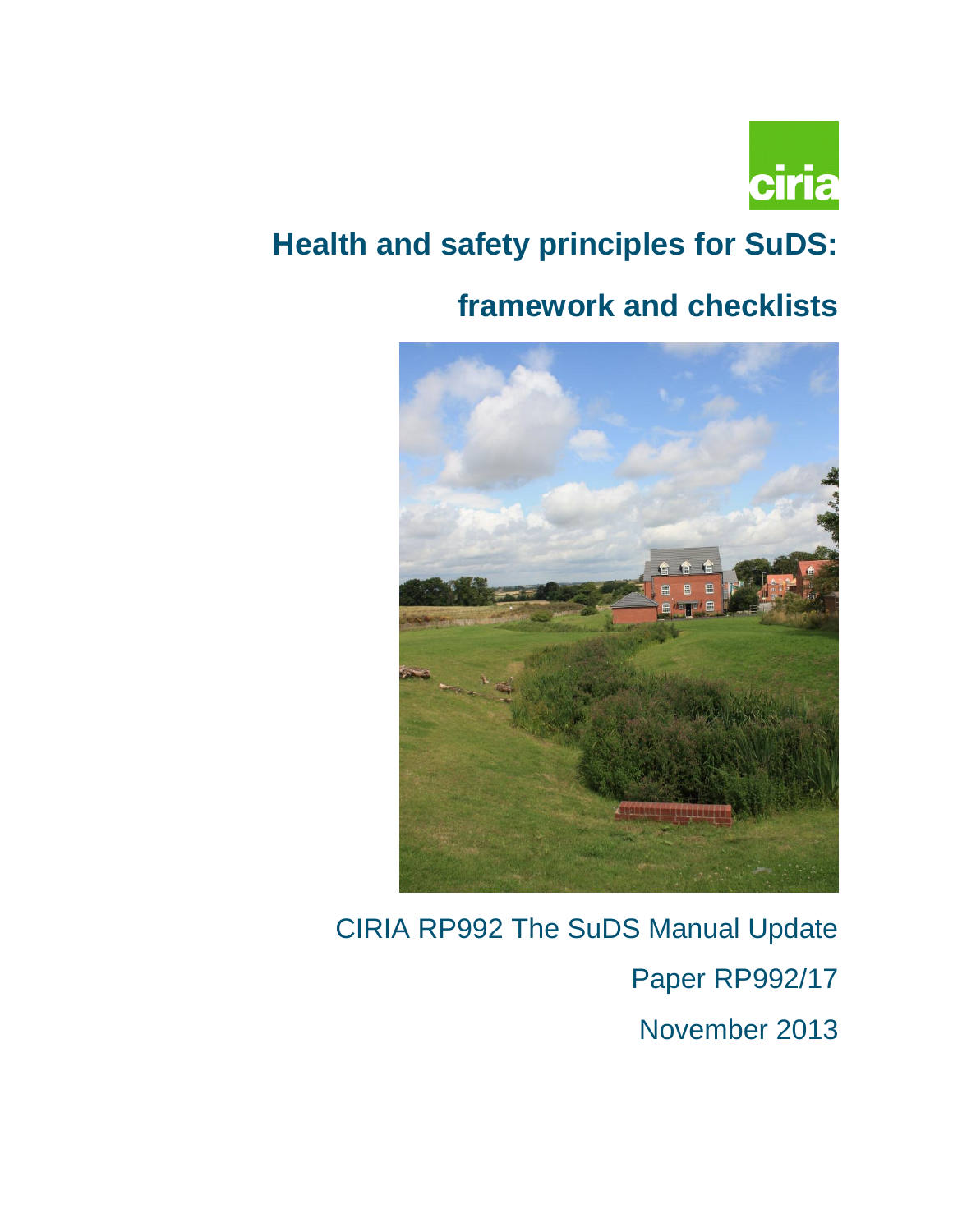

# **Health and safety principles for SuDS:**

# **framework and checklists**



# CIRIA RP992 The SuDS Manual Update Paper RP992/17 November 2013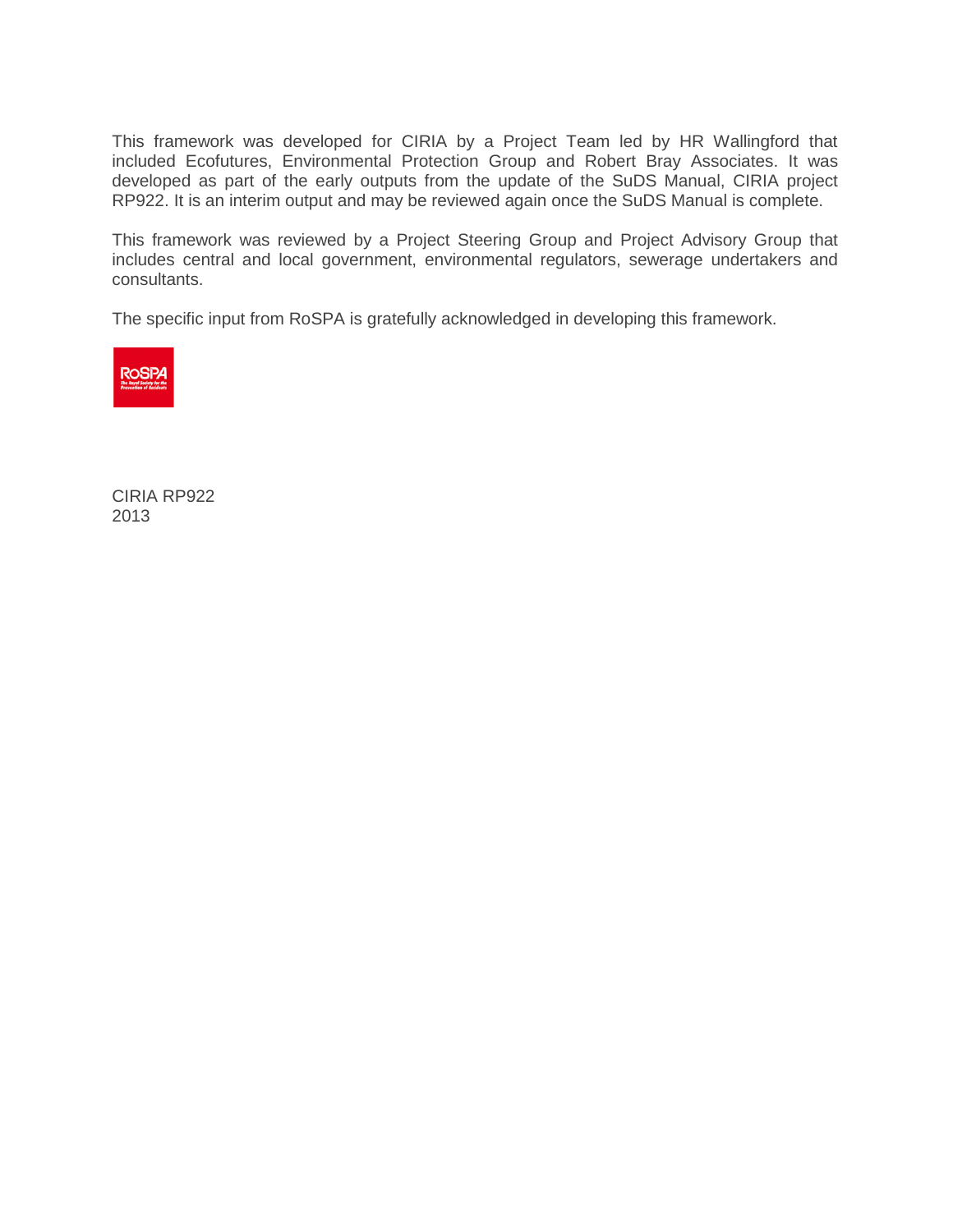This framework was developed for CIRIA by a Project Team led by HR Wallingford that included Ecofutures, Environmental Protection Group and Robert Bray Associates. It was developed as part of the early outputs from the update of the SuDS Manual, CIRIA project RP922. It is an interim output and may be reviewed again once the SuDS Manual is complete.

This framework was reviewed by a Project Steering Group and Project Advisory Group that includes central and local government, environmental regulators, sewerage undertakers and consultants.

The specific input from RoSPA is gratefully acknowledged in developing this framework.



CIRIA RP922 2013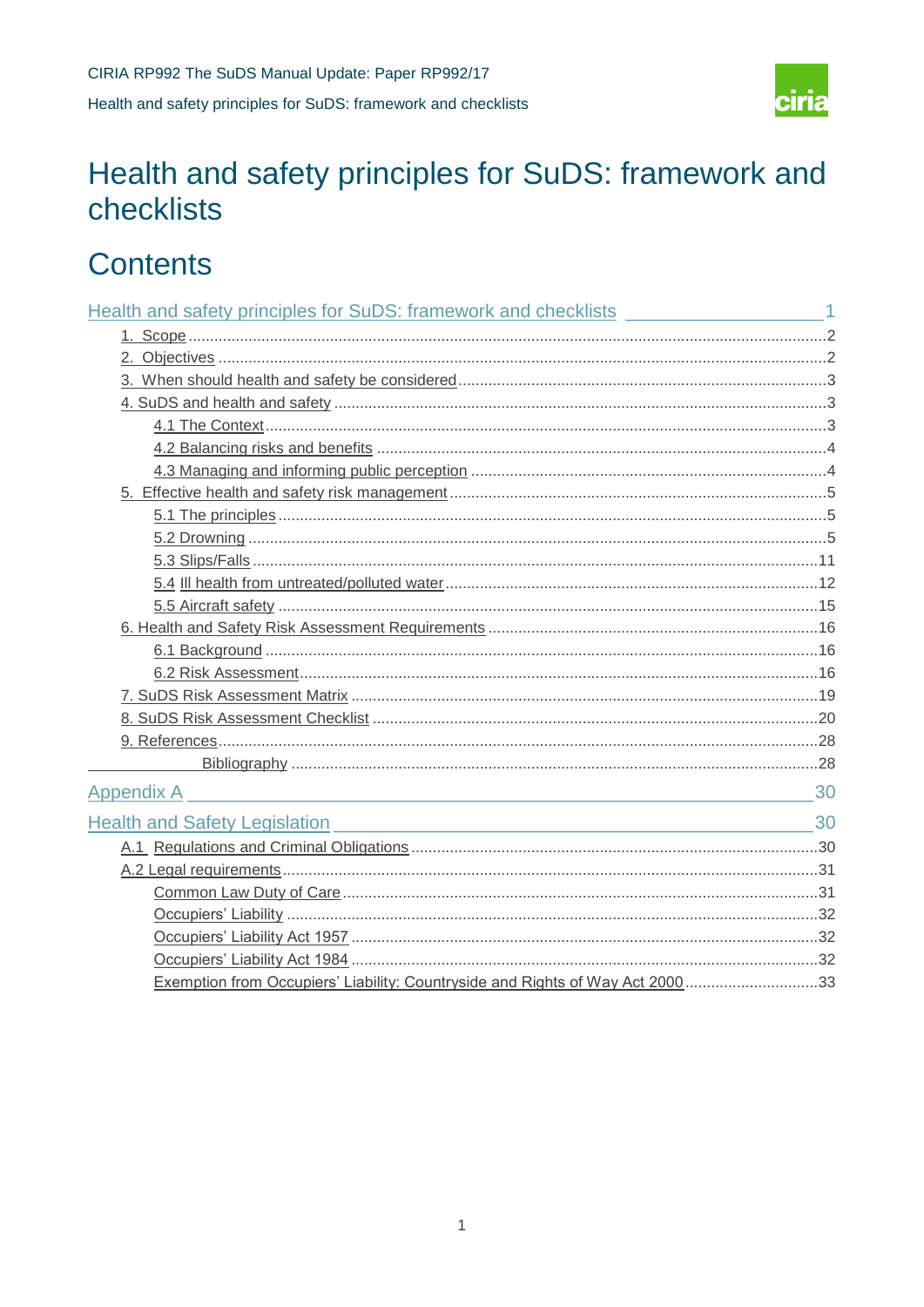

# <span id="page-2-0"></span>**Contents**

| Appendix A                                                                     | 30 |
|--------------------------------------------------------------------------------|----|
| Health and Safety Legislation 30                                               |    |
|                                                                                |    |
|                                                                                |    |
|                                                                                |    |
|                                                                                |    |
|                                                                                |    |
|                                                                                |    |
| Exemption from Occupiers' Liability: Countryside and Rights of Way Act 2000 33 |    |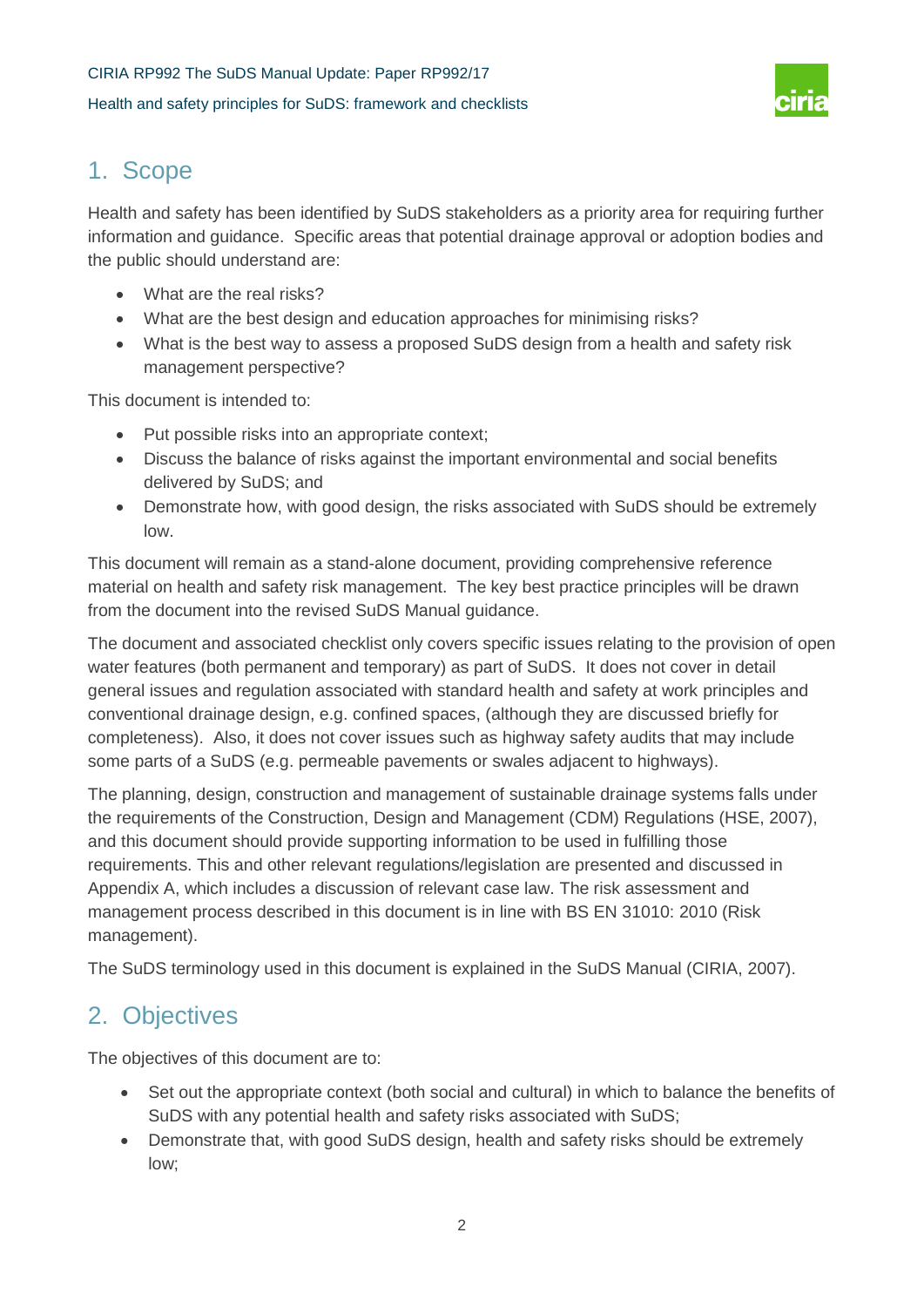

# 1. Scope

Health and safety has been identified by SuDS stakeholders as a priority area for requiring further information and guidance. Specific areas that potential drainage approval or adoption bodies and the public should understand are:

- What are the real risks?
- What are the best design and education approaches for minimising risks?
- What is the best way to assess a proposed SuDS design from a health and safety risk management perspective?

This document is intended to:

- Put possible risks into an appropriate context;
- Discuss the balance of risks against the important environmental and social benefits delivered by SuDS; and
- Demonstrate how, with good design, the risks associated with SuDS should be extremely low.

This document will remain as a stand-alone document, providing comprehensive reference material on health and safety risk management. The key best practice principles will be drawn from the document into the revised SuDS Manual guidance.

The document and associated checklist only covers specific issues relating to the provision of open water features (both permanent and temporary) as part of SuDS. It does not cover in detail general issues and regulation associated with standard health and safety at work principles and conventional drainage design, e.g. confined spaces, (although they are discussed briefly for completeness). Also, it does not cover issues such as highway safety audits that may include some parts of a SuDS (e.g. permeable pavements or swales adjacent to highways).

The planning, design, construction and management of sustainable drainage systems falls under the requirements of the Construction, Design and Management (CDM) Regulations (HSE, 2007), and this document should provide supporting information to be used in fulfilling those requirements. This and other relevant regulations/legislation are presented and discussed in Appendix A, which includes a discussion of relevant case law. The risk assessment and management process described in this document is in line with BS EN 31010: 2010 (Risk management).

The SuDS terminology used in this document is explained in the SuDS Manual (CIRIA, 2007).

# 2. Objectives

The objectives of this document are to:

- Set out the appropriate context (both social and cultural) in which to balance the benefits of SuDS with any potential health and safety risks associated with SuDS;
- Demonstrate that, with good SuDS design, health and safety risks should be extremely low;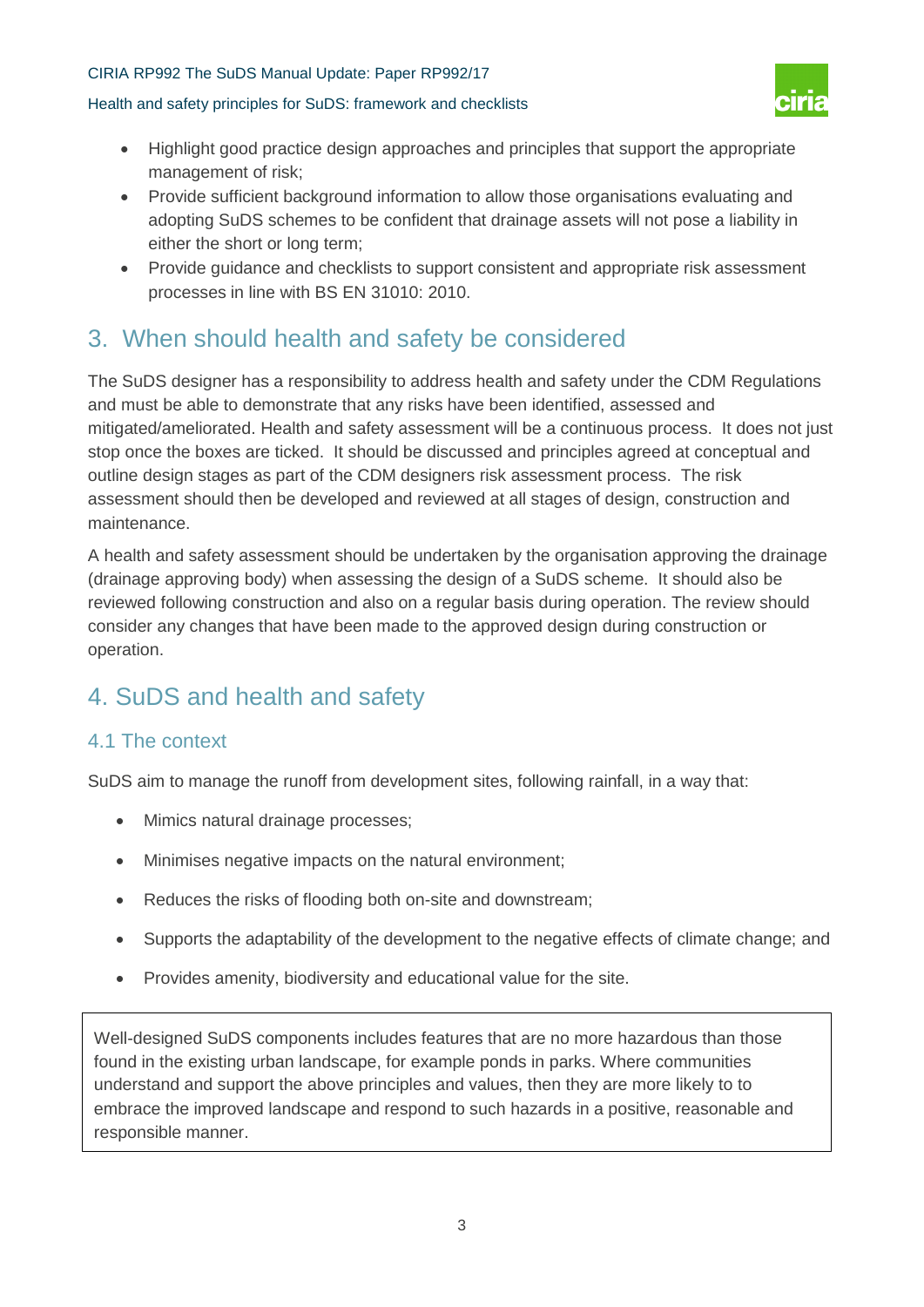#### Health and safety principles for SuDS: framework and checklists



- Highlight good practice design approaches and principles that support the appropriate management of risk;
- Provide sufficient background information to allow those organisations evaluating and adopting SuDS schemes to be confident that drainage assets will not pose a liability in either the short or long term;
- Provide guidance and checklists to support consistent and appropriate risk assessment processes in line with BS EN 31010: 2010.

# 3. When should health and safety be considered

The SuDS designer has a responsibility to address health and safety under the CDM Regulations and must be able to demonstrate that any risks have been identified, assessed and mitigated/ameliorated. Health and safety assessment will be a continuous process. It does not just stop once the boxes are ticked. It should be discussed and principles agreed at conceptual and outline design stages as part of the CDM designers risk assessment process. The risk assessment should then be developed and reviewed at all stages of design, construction and maintenance.

A health and safety assessment should be undertaken by the organisation approving the drainage (drainage approving body) when assessing the design of a SuDS scheme. It should also be reviewed following construction and also on a regular basis during operation. The review should consider any changes that have been made to the approved design during construction or operation.

# 4. SuDS and health and safety

## 4.1 The context

SuDS aim to manage the runoff from development sites, following rainfall, in a way that:

- Mimics natural drainage processes;
- Minimises negative impacts on the natural environment;
- Reduces the risks of flooding both on-site and downstream;
- Supports the adaptability of the development to the negative effects of climate change; and
- Provides amenity, biodiversity and educational value for the site.

Well-designed SuDS components includes features that are no more hazardous than those found in the existing urban landscape, for example ponds in parks. Where communities understand and support the above principles and values, then they are more likely to to embrace the improved landscape and respond to such hazards in a positive, reasonable and responsible manner.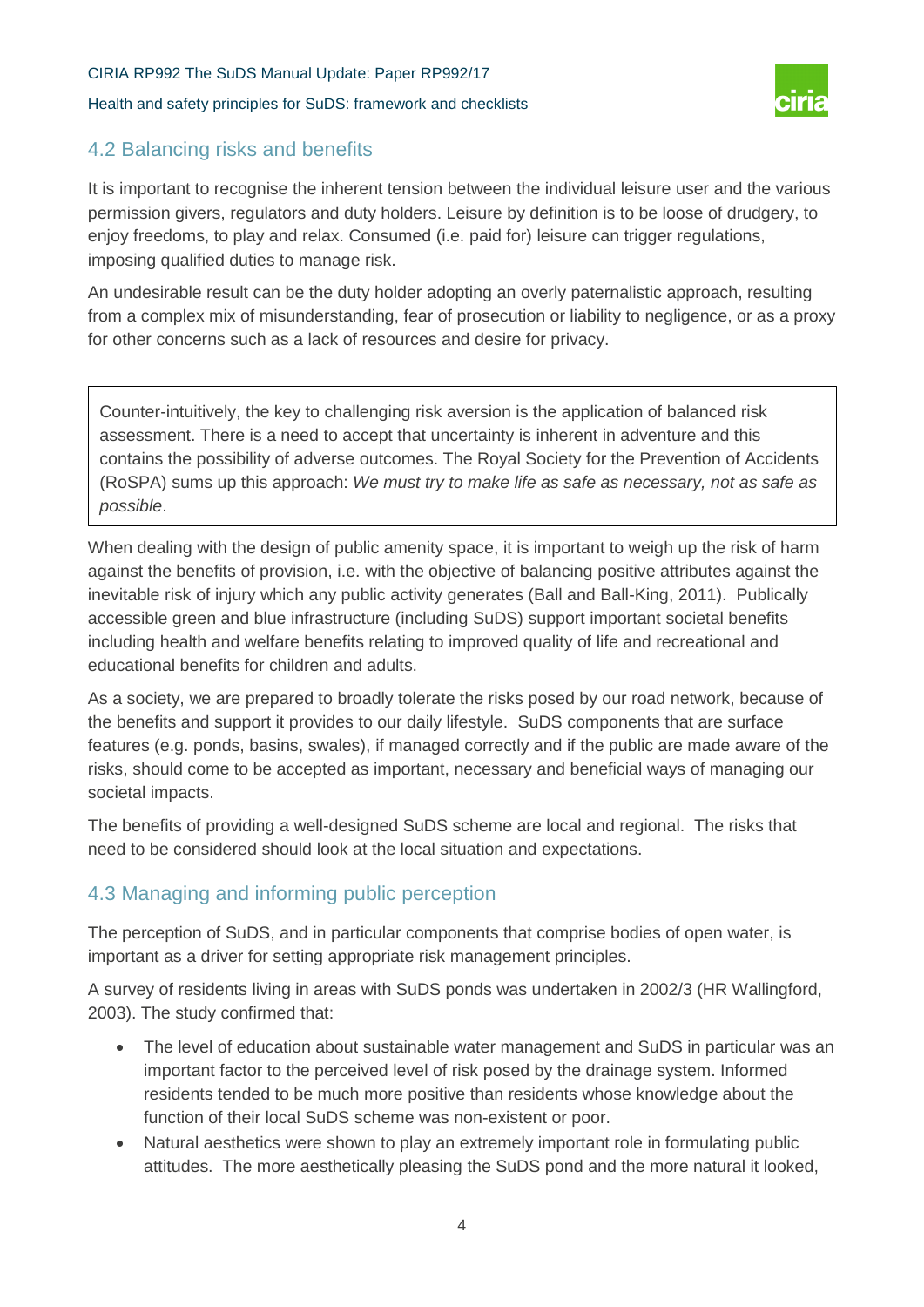Health and safety principles for SuDS: framework and checklists



## 4.2 Balancing risks and benefits

It is important to recognise the inherent tension between the individual leisure user and the various permission givers, regulators and duty holders. Leisure by definition is to be loose of drudgery, to enjoy freedoms, to play and relax. Consumed (i.e. paid for) leisure can trigger regulations, imposing qualified duties to manage risk.

An undesirable result can be the duty holder adopting an overly paternalistic approach, resulting from a complex mix of misunderstanding, fear of prosecution or liability to negligence, or as a proxy for other concerns such as a lack of resources and desire for privacy.

Counter-intuitively, the key to challenging risk aversion is the application of balanced risk assessment. There is a need to accept that uncertainty is inherent in adventure and this contains the possibility of adverse outcomes. The Royal Society for the Prevention of Accidents (RoSPA) sums up this approach: *We must try to make life as safe as necessary, not as safe as possible*.

When dealing with the design of public amenity space, it is important to weigh up the risk of harm against the benefits of provision, i.e. with the objective of balancing positive attributes against the inevitable risk of injury which any public activity generates (Ball and Ball-King, 2011). Publically accessible green and blue infrastructure (including SuDS) support important societal benefits including health and welfare benefits relating to improved quality of life and recreational and educational benefits for children and adults.

As a society, we are prepared to broadly tolerate the risks posed by our road network, because of the benefits and support it provides to our daily lifestyle. SuDS components that are surface features (e.g. ponds, basins, swales), if managed correctly and if the public are made aware of the risks, should come to be accepted as important, necessary and beneficial ways of managing our societal impacts.

The benefits of providing a well-designed SuDS scheme are local and regional. The risks that need to be considered should look at the local situation and expectations.

## 4.3 Managing and informing public perception

The perception of SuDS, and in particular components that comprise bodies of open water, is important as a driver for setting appropriate risk management principles.

A survey of residents living in areas with SuDS ponds was undertaken in 2002/3 (HR Wallingford, 2003). The study confirmed that:

- The level of education about sustainable water management and SuDS in particular was an important factor to the perceived level of risk posed by the drainage system. Informed residents tended to be much more positive than residents whose knowledge about the function of their local SuDS scheme was non-existent or poor.
- Natural aesthetics were shown to play an extremely important role in formulating public attitudes. The more aesthetically pleasing the SuDS pond and the more natural it looked,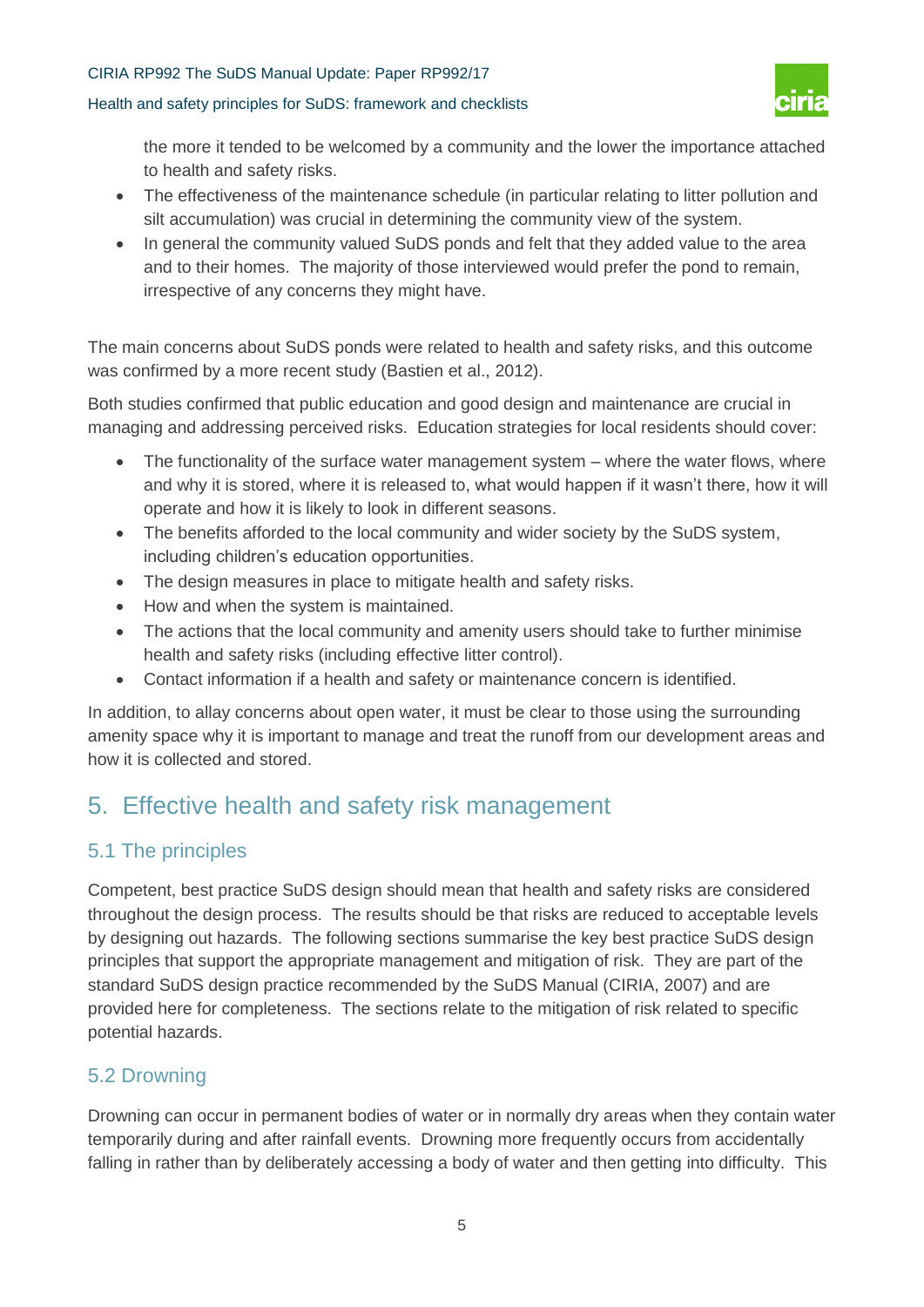#### Health and safety principles for SuDS: framework and checklists



the more it tended to be welcomed by a community and the lower the importance attached to health and safety risks.

- The effectiveness of the maintenance schedule (in particular relating to litter pollution and silt accumulation) was crucial in determining the community view of the system.
- In general the community valued SuDS ponds and felt that they added value to the area and to their homes. The majority of those interviewed would prefer the pond to remain, irrespective of any concerns they might have.

The main concerns about SuDS ponds were related to health and safety risks, and this outcome was confirmed by a more recent study (Bastien et al., 2012).

Both studies confirmed that public education and good design and maintenance are crucial in managing and addressing perceived risks. Education strategies for local residents should cover:

- The functionality of the surface water management system where the water flows, where and why it is stored, where it is released to, what would happen if it wasn't there, how it will operate and how it is likely to look in different seasons.
- The benefits afforded to the local community and wider society by the SuDS system, including children's education opportunities.
- The design measures in place to mitigate health and safety risks.
- How and when the system is maintained.
- The actions that the local community and amenity users should take to further minimise health and safety risks (including effective litter control).
- Contact information if a health and safety or maintenance concern is identified.

In addition, to allay concerns about open water, it must be clear to those using the surrounding amenity space why it is important to manage and treat the runoff from our development areas and how it is collected and stored.

# 5. Effective health and safety risk management

## 5.1 The principles

Competent, best practice SuDS design should mean that health and safety risks are considered throughout the design process. The results should be that risks are reduced to acceptable levels by designing out hazards. The following sections summarise the key best practice SuDS design principles that support the appropriate management and mitigation of risk. They are part of the standard SuDS design practice recommended by the SuDS Manual (CIRIA, 2007) and are provided here for completeness. The sections relate to the mitigation of risk related to specific potential hazards.

## 5.2 Drowning

Drowning can occur in permanent bodies of water or in normally dry areas when they contain water temporarily during and after rainfall events. Drowning more frequently occurs from accidentally falling in rather than by deliberately accessing a body of water and then getting into difficulty. This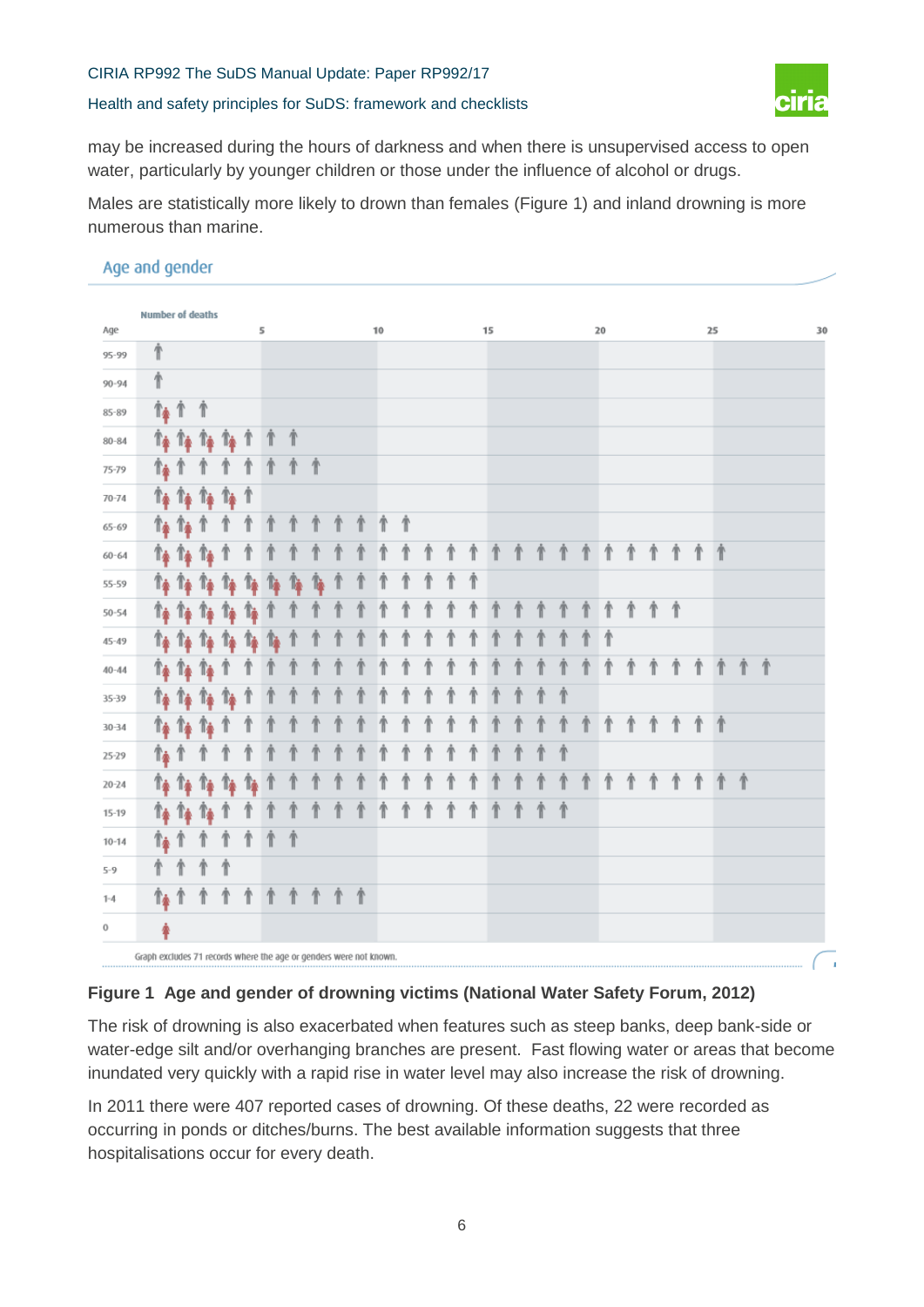Health and safety principles for SuDS: framework and checklists



may be increased during the hours of darkness and when there is unsupervised access to open water, particularly by younger children or those under the influence of alcohol or drugs.

Males are statistically more likely to drown than females (Figure 1) and inland drowning is more numerous than marine.

### Age and gender

|             | <b>Number of deaths</b>                                            |                             |                                             |              |                    |    |                    |    |   |            |    |   |  |   |    |   |   |   |   |    |            |   |            |   |    |    |            |    |
|-------------|--------------------------------------------------------------------|-----------------------------|---------------------------------------------|--------------|--------------------|----|--------------------|----|---|------------|----|---|--|---|----|---|---|---|---|----|------------|---|------------|---|----|----|------------|----|
| Age         |                                                                    |                             |                                             |              |                    | 5  |                    |    |   |            | 10 |   |  |   | 15 |   |   |   |   | 20 |            |   |            |   | 25 |    |            | 30 |
| 95-99       | ⋔                                                                  |                             |                                             |              |                    |    |                    |    |   |            |    |   |  |   |    |   |   |   |   |    |            |   |            |   |    |    |            |    |
| $90 - 94$   | ⋔                                                                  |                             |                                             |              |                    |    |                    |    |   |            |    |   |  |   |    |   |   |   |   |    |            |   |            |   |    |    |            |    |
| 85-89       |                                                                    | ↑↑↑ ↑                       |                                             |              |                    |    |                    |    |   |            |    |   |  |   |    |   |   |   |   |    |            |   |            |   |    |    |            |    |
| $80 - 84$   |                                                                    |                             | $r$ $\rightarrow$ $r$ $r$ $\rightarrow$ $r$ |              | Ť                  |    | ↑                  |    |   |            |    |   |  |   |    |   |   |   |   |    |            |   |            |   |    |    |            |    |
| 75-79       | ↑≱↑                                                                |                             |                                             |              |                    |    |                    | 个  |   |            |    |   |  |   |    |   |   |   |   |    |            |   |            |   |    |    |            |    |
| $70 - 74$   |                                                                    |                             | <b>T+ T+ T+ T+ T</b>                        |              |                    |    |                    |    |   |            |    |   |  |   |    |   |   |   |   |    |            |   |            |   |    |    |            |    |
| $65 - 69$   |                                                                    | $\uparrow$ $\uparrow$       | $^{\circ}$                                  |              |                    |    | ↑                  | 1  | ↑ | ↑          |    | ↑ |  |   |    |   |   |   |   |    |            |   |            |   |    |    |            |    |
| $60 - 64$   |                                                                    |                             | $r_{\ast}$ $r_{\ast}$ $r_{\ast}$            | T            |                    |    |                    |    |   |            |    |   |  | ↑ |    | ↑ | ↑ | ↑ | ↑ | ↑  | ↑          | ↑ | ↑          | ↑ | 个  |    |            |    |
| 55-59       |                                                                    | $T_{\Phi}$ $T_{\Phi}$       | $\mathbb{T}$                                | 1à           | 14                 | 1. | ħ                  | 1. |   |            |    |   |  | Ť |    |   |   |   |   |    |            |   |            |   |    |    |            |    |
| $50 - 54$   |                                                                    | $r_{\hat{r}}$ $r_{\hat{r}}$ | $\mathbb{T}$                                | 1è           | 1à                 |    |                    |    |   |            |    |   |  |   |    |   |   |   |   |    | ↑          | ∱ | 一个         |   |    |    |            |    |
| $45 - 49$   |                                                                    |                             | <b>T+ T+ T+ T+</b>                          |              | 14                 | 1à |                    |    |   |            |    |   |  |   |    |   |   |   |   |    |            |   |            |   |    |    |            |    |
| $40 - 44$   |                                                                    | $T_{\Phi}$ $T_{\Phi}$       | $T_{\Phi}$                                  |              |                    |    |                    |    |   |            |    |   |  |   |    |   |   |   |   |    |            |   |            |   |    |    | $\Uparrow$ |    |
| 35-39       |                                                                    |                             | 14 T4 T4                                    | 1è           |                    |    |                    |    |   |            |    |   |  |   |    |   |   | Ť |   |    |            |   |            |   |    |    |            |    |
| 30-34       |                                                                    |                             | $r_{\ast}$ $r_{\ast}$ $r_{\ast}$            | Ί            |                    |    |                    |    |   |            |    |   |  |   |    |   |   |   |   |    |            |   |            | ↑ | ∱  |    |            |    |
| 25-29       | ↑≱↑                                                                |                             |                                             |              |                    |    |                    |    |   |            |    |   |  |   |    |   |   | Ť |   |    |            |   |            |   |    |    |            |    |
| $20 - 24$   |                                                                    |                             | 14 T4 T4                                    | $\mathbf{r}$ | 1.                 |    |                    |    |   |            |    |   |  |   |    |   |   |   | ⇑ | ∱  | $\Uparrow$ | ↑ | $\Uparrow$ | ↑ |    | 个个 |            |    |
| $15 - 19$   |                                                                    | $T_4$ $T_4$                 | $\mathbf{r}$                                |              |                    |    |                    |    |   |            |    | ↑ |  | ↑ |    |   |   | ↑ |   |    |            |   |            |   |    |    |            |    |
| $10 - 14$   | $\uparrow$ $\uparrow$                                              |                             | T                                           |              | $\hat{\mathbb{T}}$ | Ť  | $\hat{\mathbb{T}}$ |    |   |            |    |   |  |   |    |   |   |   |   |    |            |   |            |   |    |    |            |    |
| $5 - 9$     | ∱                                                                  | 个                           | 个                                           | ↑            |                    |    |                    |    |   |            |    |   |  |   |    |   |   |   |   |    |            |   |            |   |    |    |            |    |
| $1 - 4$     | 修介                                                                 |                             | ↑                                           | ↑            | ↑                  | ↑  | ↑                  | ↑  | ↑ | $\Uparrow$ |    |   |  |   |    |   |   |   |   |    |            |   |            |   |    |    |            |    |
| $\mathbf 0$ | ♠                                                                  |                             |                                             |              |                    |    |                    |    |   |            |    |   |  |   |    |   |   |   |   |    |            |   |            |   |    |    |            |    |
|             | Graph excludes 71 records where the age or genders were not known. |                             |                                             |              |                    |    |                    |    |   |            |    |   |  |   |    |   |   |   |   |    |            |   |            |   |    |    |            |    |

#### **Figure 1 Age and gender of drowning victims (National Water Safety Forum, 2012)**

The risk of drowning is also exacerbated when features such as steep banks, deep bank-side or water-edge silt and/or overhanging branches are present. Fast flowing water or areas that become inundated very quickly with a rapid rise in water level may also increase the risk of drowning.

In 2011 there were 407 reported cases of drowning. Of these deaths, 22 were recorded as occurring in ponds or ditches/burns. The best available information suggests that three hospitalisations occur for every death.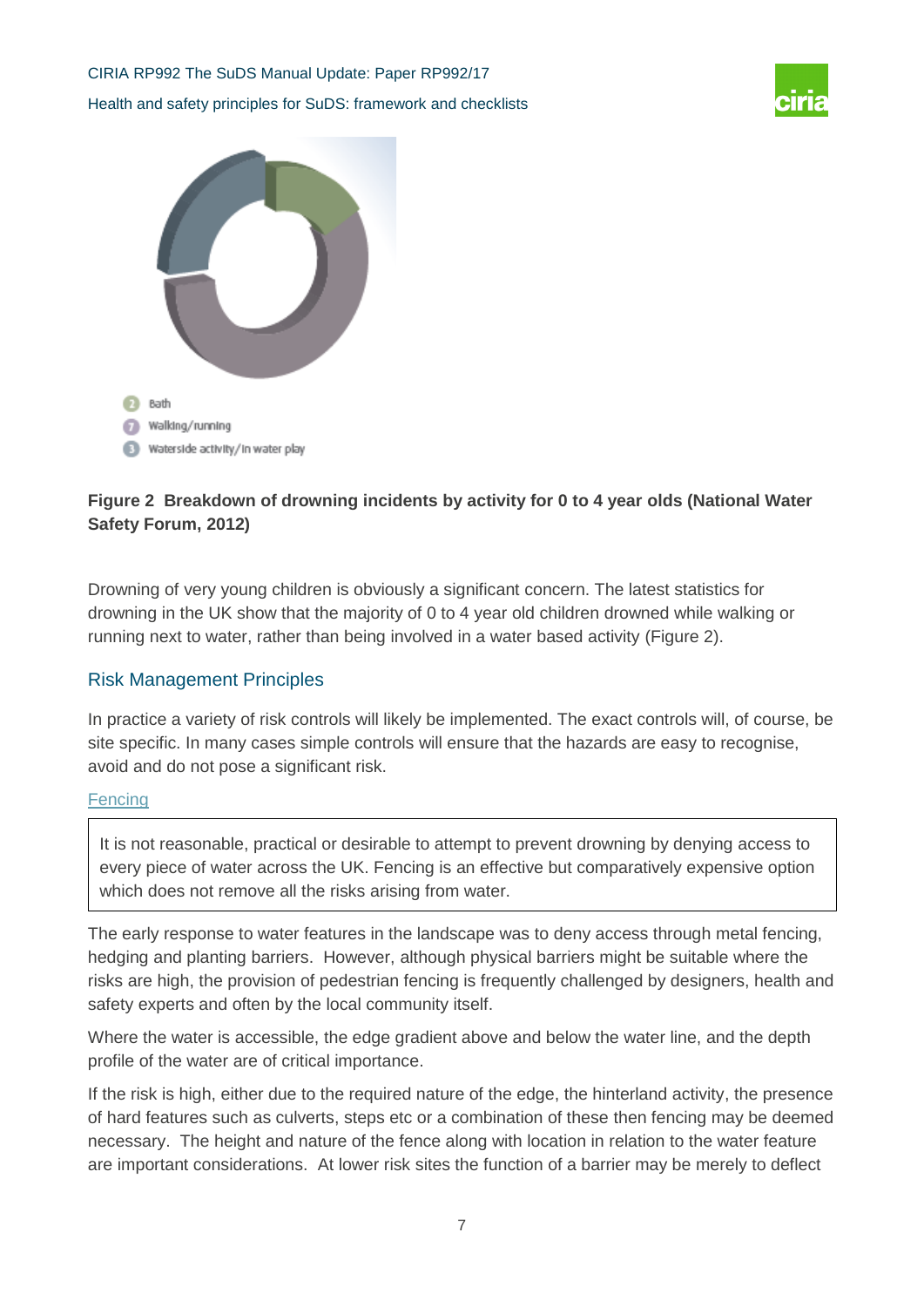



### **Figure 2 Breakdown of drowning incidents by activity for 0 to 4 year olds (National Water Safety Forum, 2012)**

Drowning of very young children is obviously a significant concern. The latest statistics for drowning in the UK show that the majority of 0 to 4 year old children drowned while walking or running next to water, rather than being involved in a water based activity (Figure 2).

### Risk Management Principles

In practice a variety of risk controls will likely be implemented. The exact controls will, of course, be site specific. In many cases simple controls will ensure that the hazards are easy to recognise, avoid and do not pose a significant risk.

#### **Fencing**

It is not reasonable, practical or desirable to attempt to prevent drowning by denying access to every piece of water across the UK. Fencing is an effective but comparatively expensive option which does not remove all the risks arising from water.

The early response to water features in the landscape was to deny access through metal fencing, hedging and planting barriers. However, although physical barriers might be suitable where the risks are high, the provision of pedestrian fencing is frequently challenged by designers, health and safety experts and often by the local community itself.

Where the water is accessible, the edge gradient above and below the water line, and the depth profile of the water are of critical importance.

If the risk is high, either due to the required nature of the edge, the hinterland activity, the presence of hard features such as culverts, steps etc or a combination of these then fencing may be deemed necessary. The height and nature of the fence along with location in relation to the water feature are important considerations. At lower risk sites the function of a barrier may be merely to deflect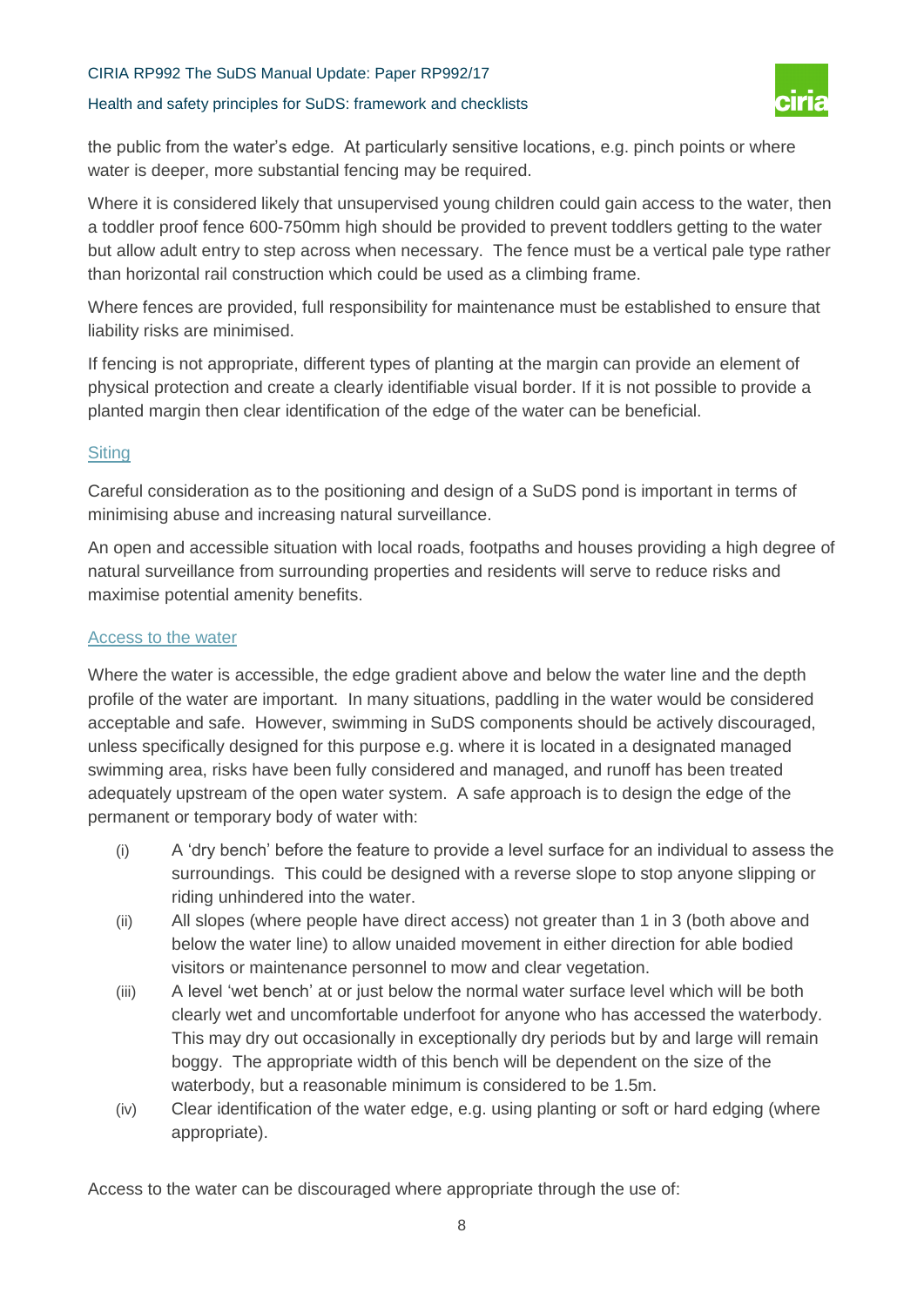#### Health and safety principles for SuDS: framework and checklists



the public from the water's edge. At particularly sensitive locations, e.g. pinch points or where water is deeper, more substantial fencing may be required.

Where it is considered likely that unsupervised young children could gain access to the water, then a toddler proof fence 600-750mm high should be provided to prevent toddlers getting to the water but allow adult entry to step across when necessary. The fence must be a vertical pale type rather than horizontal rail construction which could be used as a climbing frame.

Where fences are provided, full responsibility for maintenance must be established to ensure that liability risks are minimised.

If fencing is not appropriate, different types of planting at the margin can provide an element of physical protection and create a clearly identifiable visual border. If it is not possible to provide a planted margin then clear identification of the edge of the water can be beneficial.

#### **Siting**

Careful consideration as to the positioning and design of a SuDS pond is important in terms of minimising abuse and increasing natural surveillance.

An open and accessible situation with local roads, footpaths and houses providing a high degree of natural surveillance from surrounding properties and residents will serve to reduce risks and maximise potential amenity benefits.

#### Access to the water

Where the water is accessible, the edge gradient above and below the water line and the depth profile of the water are important. In many situations, paddling in the water would be considered acceptable and safe. However, swimming in SuDS components should be actively discouraged, unless specifically designed for this purpose e.g. where it is located in a designated managed swimming area, risks have been fully considered and managed, and runoff has been treated adequately upstream of the open water system. A safe approach is to design the edge of the permanent or temporary body of water with:

- (i) A 'dry bench' before the feature to provide a level surface for an individual to assess the surroundings. This could be designed with a reverse slope to stop anyone slipping or riding unhindered into the water.
- (ii) All slopes (where people have direct access) not greater than 1 in 3 (both above and below the water line) to allow unaided movement in either direction for able bodied visitors or maintenance personnel to mow and clear vegetation.
- (iii) A level 'wet bench' at or just below the normal water surface level which will be both clearly wet and uncomfortable underfoot for anyone who has accessed the waterbody. This may dry out occasionally in exceptionally dry periods but by and large will remain boggy. The appropriate width of this bench will be dependent on the size of the waterbody, but a reasonable minimum is considered to be 1.5m.
- (iv) Clear identification of the water edge, e.g. using planting or soft or hard edging (where appropriate).

Access to the water can be discouraged where appropriate through the use of: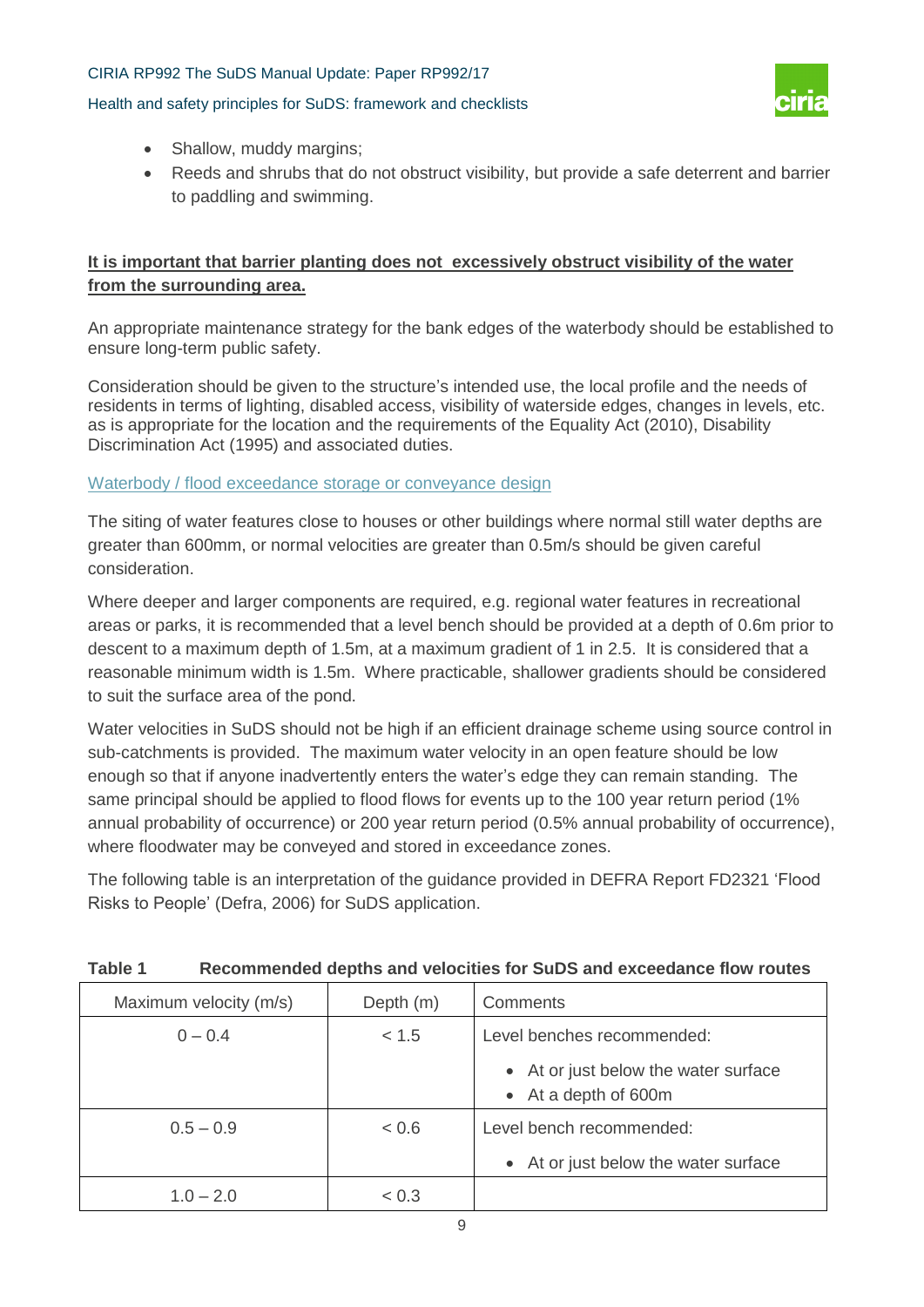#### Health and safety principles for SuDS: framework and checklists



- Shallow, muddy margins;
- Reeds and shrubs that do not obstruct visibility, but provide a safe deterrent and barrier to paddling and swimming.

### **It is important that barrier planting does not excessively obstruct visibility of the water from the surrounding area.**

An appropriate maintenance strategy for the bank edges of the waterbody should be established to ensure long-term public safety.

Consideration should be given to the structure's intended use, the local profile and the needs of residents in terms of lighting, disabled access, visibility of waterside edges, changes in levels, etc. as is appropriate for the location and the requirements of the Equality Act (2010), Disability Discrimination Act (1995) and associated duties.

#### Waterbody / flood exceedance storage or conveyance design

The siting of water features close to houses or other buildings where normal still water depths are greater than 600mm, or normal velocities are greater than 0.5m/s should be given careful consideration.

Where deeper and larger components are required, e.g. regional water features in recreational areas or parks, it is recommended that a level bench should be provided at a depth of 0.6m prior to descent to a maximum depth of 1.5m, at a maximum gradient of 1 in 2.5. It is considered that a reasonable minimum width is 1.5m. Where practicable, shallower gradients should be considered to suit the surface area of the pond.

Water velocities in SuDS should not be high if an efficient drainage scheme using source control in sub-catchments is provided. The maximum water velocity in an open feature should be low enough so that if anyone inadvertently enters the water's edge they can remain standing. The same principal should be applied to flood flows for events up to the 100 year return period (1%) annual probability of occurrence) or 200 year return period (0.5% annual probability of occurrence), where floodwater may be conveyed and stored in exceedance zones.

The following table is an interpretation of the guidance provided in DEFRA Report FD2321 'Flood Risks to People' (Defra, 2006) for SuDS application.

| Maximum velocity (m/s) | Depth (m) | Comments                                                     |
|------------------------|-----------|--------------------------------------------------------------|
| $0 - 0.4$              | < 1.5     | Level benches recommended:                                   |
|                        |           | • At or just below the water surface<br>• At a depth of 600m |
| $0.5 - 0.9$            | < 0.6     | Level bench recommended:                                     |
|                        |           | • At or just below the water surface                         |
| $1.0 - 2.0$            | < 0.3     |                                                              |

#### **Table 1 Recommended depths and velocities for SuDS and exceedance flow routes**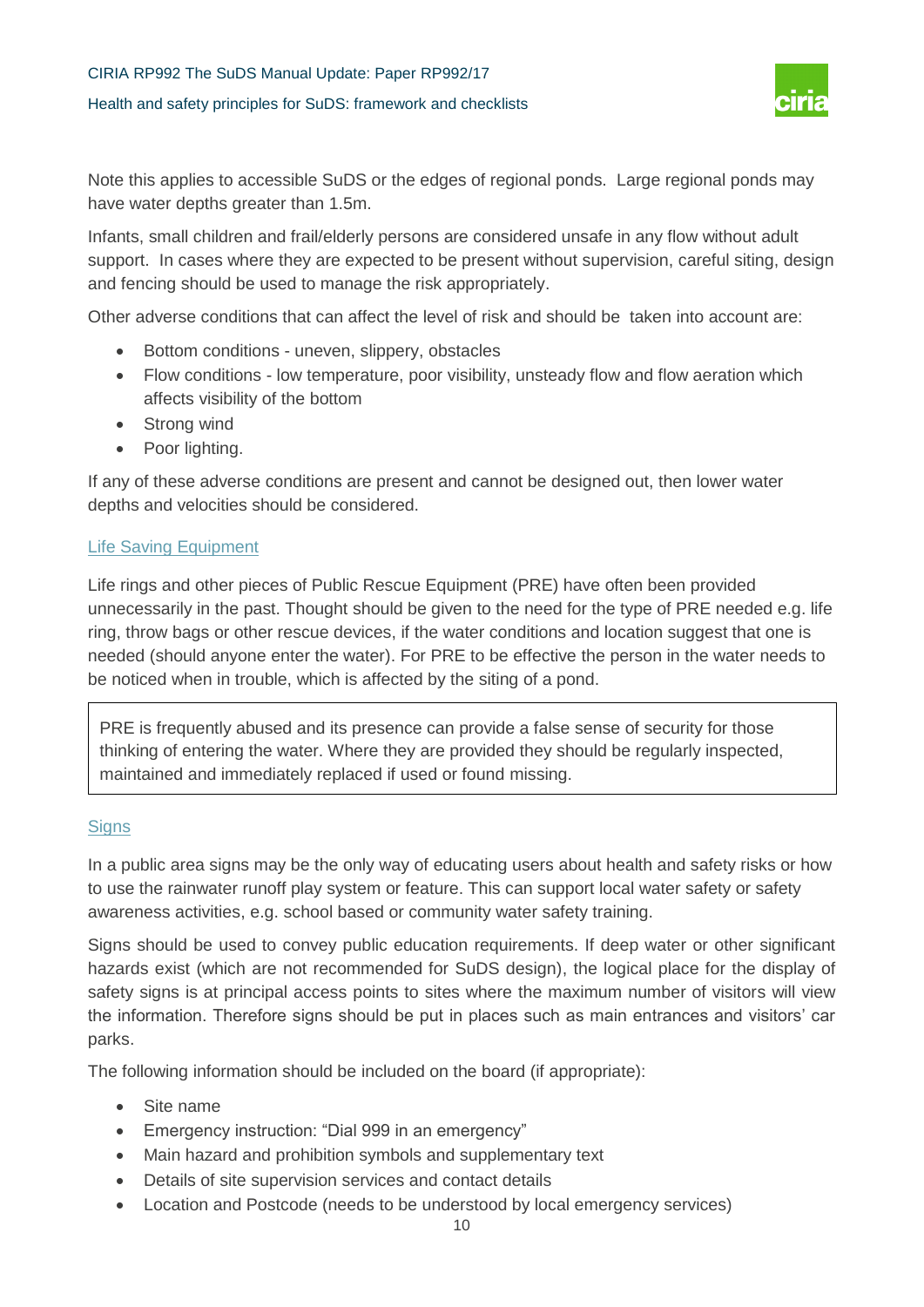# CIRIA RP992 The SuDS Manual Update: Paper RP992/17 Health and safety principles for SuDS: framework and checklists



Note this applies to accessible SuDS or the edges of regional ponds. Large regional ponds may have water depths greater than 1.5m.

Infants, small children and frail/elderly persons are considered unsafe in any flow without adult support. In cases where they are expected to be present without supervision, careful siting, design and fencing should be used to manage the risk appropriately.

Other adverse conditions that can affect the level of risk and should be taken into account are:

- Bottom conditions uneven, slippery, obstacles
- Flow conditions low temperature, poor visibility, unsteady flow and flow aeration which affects visibility of the bottom
- Strong wind
- Poor lighting.

If any of these adverse conditions are present and cannot be designed out, then lower water depths and velocities should be considered.

#### Life Saving Equipment

Life rings and other pieces of Public Rescue Equipment (PRE) have often been provided unnecessarily in the past. Thought should be given to the need for the type of PRE needed e.g. life ring, throw bags or other rescue devices, if the water conditions and location suggest that one is needed (should anyone enter the water). For PRE to be effective the person in the water needs to be noticed when in trouble, which is affected by the siting of a pond.

PRE is frequently abused and its presence can provide a false sense of security for those thinking of entering the water. Where they are provided they should be regularly inspected, maintained and immediately replaced if used or found missing.

#### **Signs**

In a public area signs may be the only way of educating users about health and safety risks or how to use the rainwater runoff play system or feature. This can support local water safety or safety awareness activities, e.g. school based or community water safety training.

Signs should be used to convey public education requirements. If deep water or other significant hazards exist (which are not recommended for SuDS design), the logical place for the display of safety signs is at principal access points to sites where the maximum number of visitors will view the information. Therefore signs should be put in places such as main entrances and visitors' car parks.

The following information should be included on the board (if appropriate):

- Site name
- Emergency instruction: "Dial 999 in an emergency"
- Main hazard and prohibition symbols and supplementary text
- Details of site supervision services and contact details
- Location and Postcode (needs to be understood by local emergency services)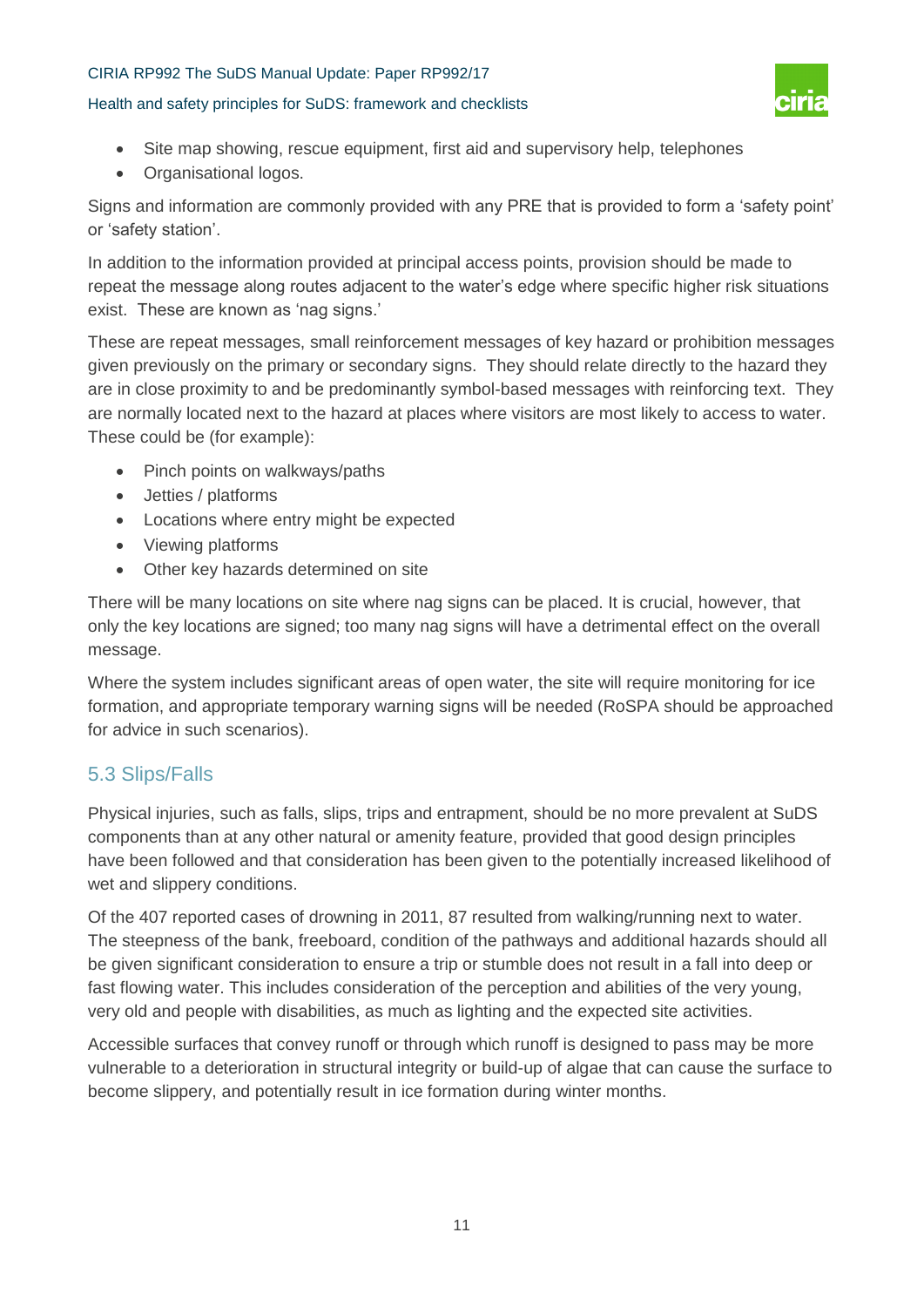#### Health and safety principles for SuDS: framework and checklists



- Site map showing, rescue equipment, first aid and supervisory help, telephones
- Organisational logos.

Signs and information are commonly provided with any PRE that is provided to form a 'safety point' or 'safety station'.

In addition to the information provided at principal access points, provision should be made to repeat the message along routes adjacent to the water's edge where specific higher risk situations exist. These are known as 'nag signs.'

These are repeat messages, small reinforcement messages of key hazard or prohibition messages given previously on the primary or secondary signs. They should relate directly to the hazard they are in close proximity to and be predominantly symbol-based messages with reinforcing text. They are normally located next to the hazard at places where visitors are most likely to access to water. These could be (for example):

- Pinch points on walkways/paths
- Jetties / platforms
- Locations where entry might be expected
- Viewing platforms
- Other key hazards determined on site

There will be many locations on site where nag signs can be placed. It is crucial, however, that only the key locations are signed; too many nag signs will have a detrimental effect on the overall message.

Where the system includes significant areas of open water, the site will require monitoring for ice formation, and appropriate temporary warning signs will be needed (RoSPA should be approached for advice in such scenarios).

### 5.3 Slips/Falls

Physical injuries, such as falls, slips, trips and entrapment, should be no more prevalent at SuDS components than at any other natural or amenity feature, provided that good design principles have been followed and that consideration has been given to the potentially increased likelihood of wet and slippery conditions.

Of the 407 reported cases of drowning in 2011, 87 resulted from walking/running next to water. The steepness of the bank, freeboard, condition of the pathways and additional hazards should all be given significant consideration to ensure a trip or stumble does not result in a fall into deep or fast flowing water. This includes consideration of the perception and abilities of the very young, very old and people with disabilities, as much as lighting and the expected site activities.

Accessible surfaces that convey runoff or through which runoff is designed to pass may be more vulnerable to a deterioration in structural integrity or build-up of algae that can cause the surface to become slippery, and potentially result in ice formation during winter months.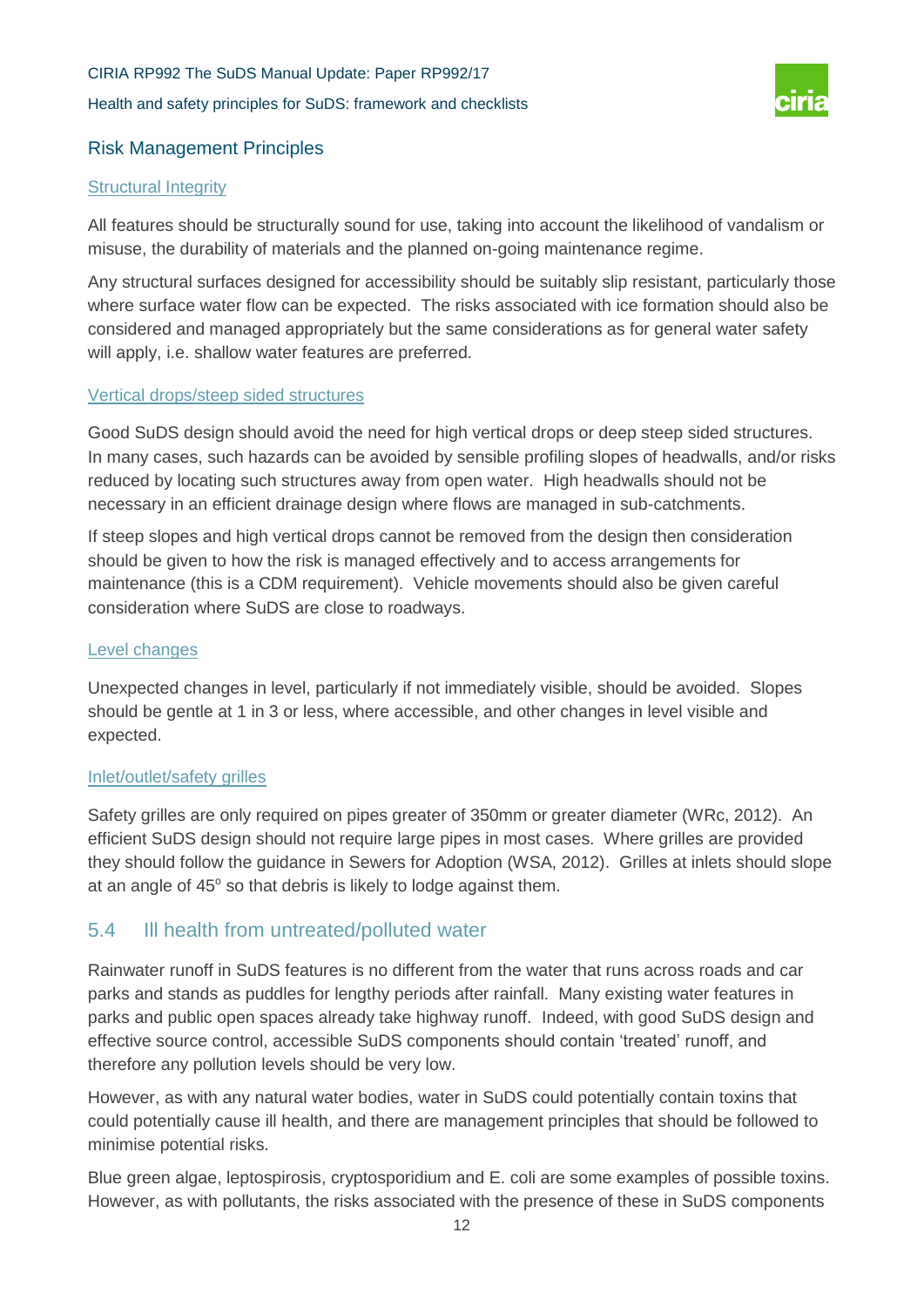# CIRIA RP992 The SuDS Manual Update: Paper RP992/17 Health and safety principles for SuDS: framework and checklists



### Risk Management Principles

#### **Structural Integrity**

All features should be structurally sound for use, taking into account the likelihood of vandalism or misuse, the durability of materials and the planned on-going maintenance regime.

Any structural surfaces designed for accessibility should be suitably slip resistant, particularly those where surface water flow can be expected. The risks associated with ice formation should also be considered and managed appropriately but the same considerations as for general water safety will apply, i.e. shallow water features are preferred.

#### Vertical drops/steep sided structures

Good SuDS design should avoid the need for high vertical drops or deep steep sided structures. In many cases, such hazards can be avoided by sensible profiling slopes of headwalls, and/or risks reduced by locating such structures away from open water. High headwalls should not be necessary in an efficient drainage design where flows are managed in sub-catchments.

If steep slopes and high vertical drops cannot be removed from the design then consideration should be given to how the risk is managed effectively and to access arrangements for maintenance (this is a CDM requirement). Vehicle movements should also be given careful consideration where SuDS are close to roadways.

#### Level changes

Unexpected changes in level, particularly if not immediately visible, should be avoided. Slopes should be gentle at 1 in 3 or less, where accessible, and other changes in level visible and expected.

#### Inlet/outlet/safety grilles

Safety grilles are only required on pipes greater of 350mm or greater diameter (WRc, 2012). An efficient SuDS design should not require large pipes in most cases. Where grilles are provided they should follow the guidance in Sewers for Adoption (WSA, 2012). Grilles at inlets should slope at an angle of 45° so that debris is likely to lodge against them.

### 5.4 Ill health from untreated/polluted water

Rainwater runoff in SuDS features is no different from the water that runs across roads and car parks and stands as puddles for lengthy periods after rainfall. Many existing water features in parks and public open spaces already take highway runoff. Indeed, with good SuDS design and effective source control, accessible SuDS components should contain 'treated' runoff, and therefore any pollution levels should be very low.

However, as with any natural water bodies, water in SuDS could potentially contain toxins that could potentially cause ill health, and there are management principles that should be followed to minimise potential risks.

Blue green algae, leptospirosis, cryptosporidium and E. coli are some examples of possible toxins. However, as with pollutants, the risks associated with the presence of these in SuDS components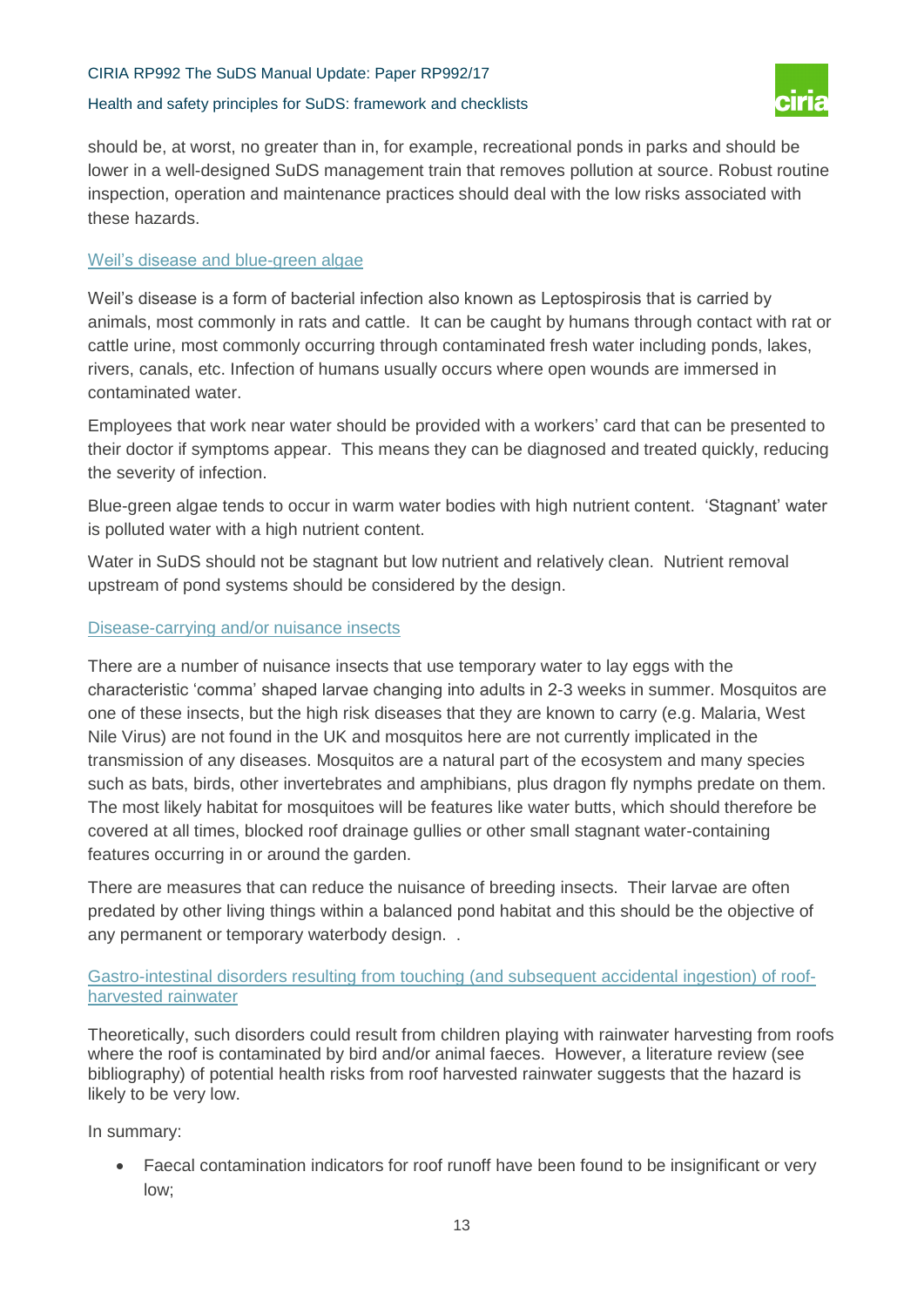#### Health and safety principles for SuDS: framework and checklists



should be, at worst, no greater than in, for example, recreational ponds in parks and should be lower in a well-designed SuDS management train that removes pollution at source. Robust routine inspection, operation and maintenance practices should deal with the low risks associated with these hazards.

#### Weil's disease and blue-green algae

Weil's disease is a form of bacterial infection also known as Leptospirosis that is carried by animals, most commonly in rats and cattle. It can be caught by humans through contact with rat or cattle urine, most commonly occurring through contaminated fresh water including ponds, lakes, rivers, canals, etc. Infection of humans usually occurs where open wounds are immersed in contaminated water.

Employees that work near water should be provided with a workers' card that can be presented to their doctor if symptoms appear. This means they can be diagnosed and treated quickly, reducing the severity of infection.

Blue-green algae tends to occur in warm water bodies with high nutrient content. 'Stagnant' water is polluted water with a high nutrient content.

Water in SuDS should not be stagnant but low nutrient and relatively clean. Nutrient removal upstream of pond systems should be considered by the design.

#### Disease-carrying and/or nuisance insects

There are a number of nuisance insects that use temporary water to lay eggs with the characteristic 'comma' shaped larvae changing into adults in 2-3 weeks in summer. Mosquitos are one of these insects, but the high risk diseases that they are known to carry (e.g. Malaria, West Nile Virus) are not found in the UK and mosquitos here are not currently implicated in the transmission of any diseases. Mosquitos are a natural part of the ecosystem and many species such as bats, birds, other invertebrates and amphibians, plus dragon fly nymphs predate on them. The most likely habitat for mosquitoes will be features like water butts, which should therefore be covered at all times, blocked roof drainage gullies or other small stagnant water-containing features occurring in or around the garden.

There are measures that can reduce the nuisance of breeding insects. Their larvae are often predated by other living things within a balanced pond habitat and this should be the objective of any permanent or temporary waterbody design. .

#### Gastro-intestinal disorders resulting from touching (and subsequent accidental ingestion) of roofharvested rainwater

Theoretically, such disorders could result from children playing with rainwater harvesting from roofs where the roof is contaminated by bird and/or animal faeces. However, a literature review (see bibliography) of potential health risks from roof harvested rainwater suggests that the hazard is likely to be very low.

#### In summary:

 Faecal contamination indicators for roof runoff have been found to be insignificant or very low;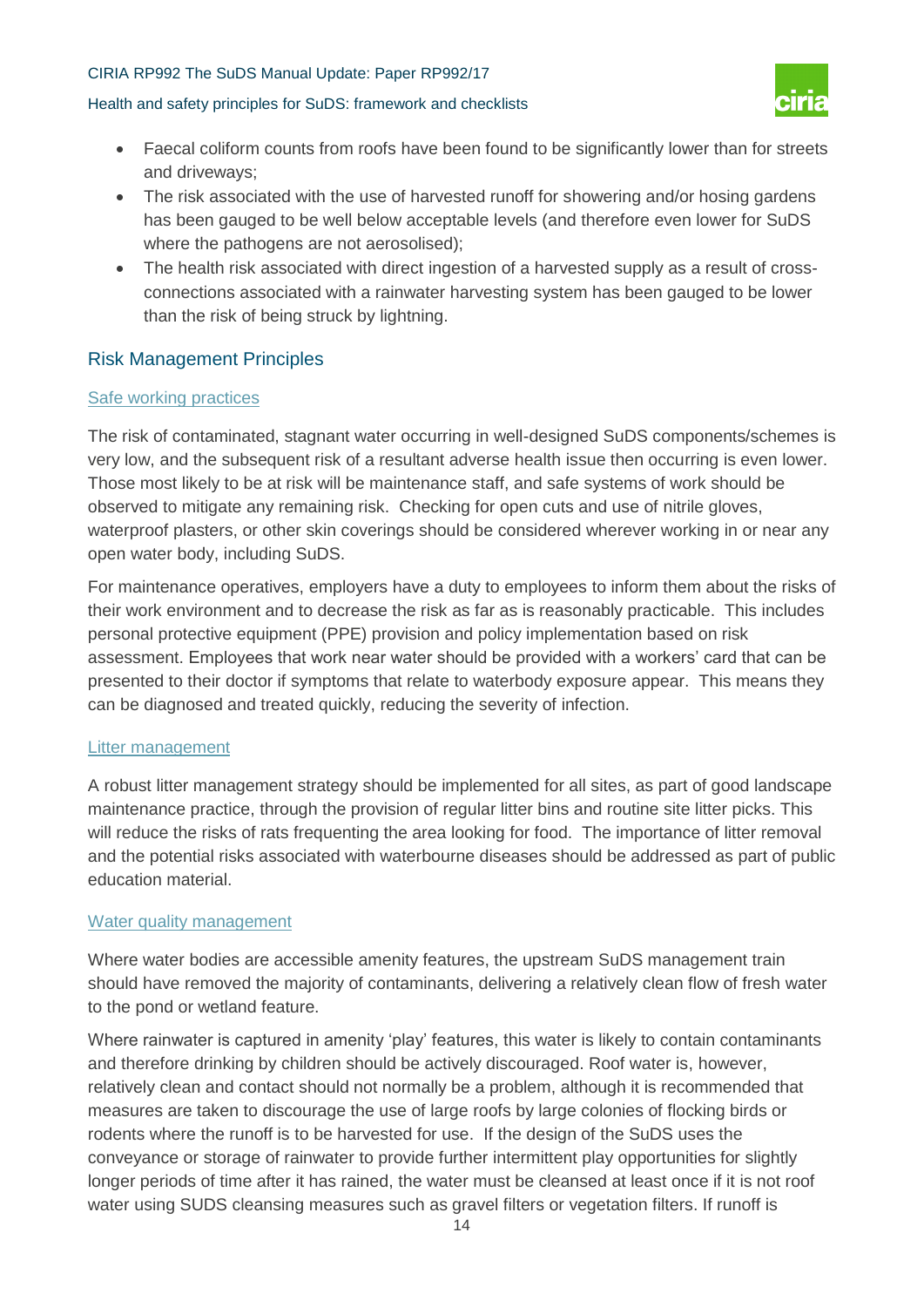#### Health and safety principles for SuDS: framework and checklists



- Faecal coliform counts from roofs have been found to be significantly lower than for streets and driveways;
- The risk associated with the use of harvested runoff for showering and/or hosing gardens has been gauged to be well below acceptable levels (and therefore even lower for SuDS where the pathogens are not aerosolised);
- The health risk associated with direct ingestion of a harvested supply as a result of crossconnections associated with a rainwater harvesting system has been gauged to be lower than the risk of being struck by lightning.

#### Risk Management Principles

#### Safe working practices

The risk of contaminated, stagnant water occurring in well-designed SuDS components/schemes is very low, and the subsequent risk of a resultant adverse health issue then occurring is even lower. Those most likely to be at risk will be maintenance staff, and safe systems of work should be observed to mitigate any remaining risk. Checking for open cuts and use of nitrile gloves, waterproof plasters, or other skin coverings should be considered wherever working in or near any open water body, including SuDS.

For maintenance operatives, employers have a duty to employees to inform them about the risks of their work environment and to decrease the risk as far as is reasonably practicable. This includes personal protective equipment (PPE) provision and policy implementation based on risk assessment. Employees that work near water should be provided with a workers' card that can be presented to their doctor if symptoms that relate to waterbody exposure appear. This means they can be diagnosed and treated quickly, reducing the severity of infection.

#### Litter management

A robust litter management strategy should be implemented for all sites, as part of good landscape maintenance practice, through the provision of regular litter bins and routine site litter picks. This will reduce the risks of rats frequenting the area looking for food. The importance of litter removal and the potential risks associated with waterbourne diseases should be addressed as part of public education material.

#### Water quality management

Where water bodies are accessible amenity features, the upstream SuDS management train should have removed the majority of contaminants, delivering a relatively clean flow of fresh water to the pond or wetland feature.

Where rainwater is captured in amenity 'play' features, this water is likely to contain contaminants and therefore drinking by children should be actively discouraged. Roof water is, however, relatively clean and contact should not normally be a problem, although it is recommended that measures are taken to discourage the use of large roofs by large colonies of flocking birds or rodents where the runoff is to be harvested for use. If the design of the SuDS uses the conveyance or storage of rainwater to provide further intermittent play opportunities for slightly longer periods of time after it has rained, the water must be cleansed at least once if it is not roof water using SUDS cleansing measures such as gravel filters or vegetation filters. If runoff is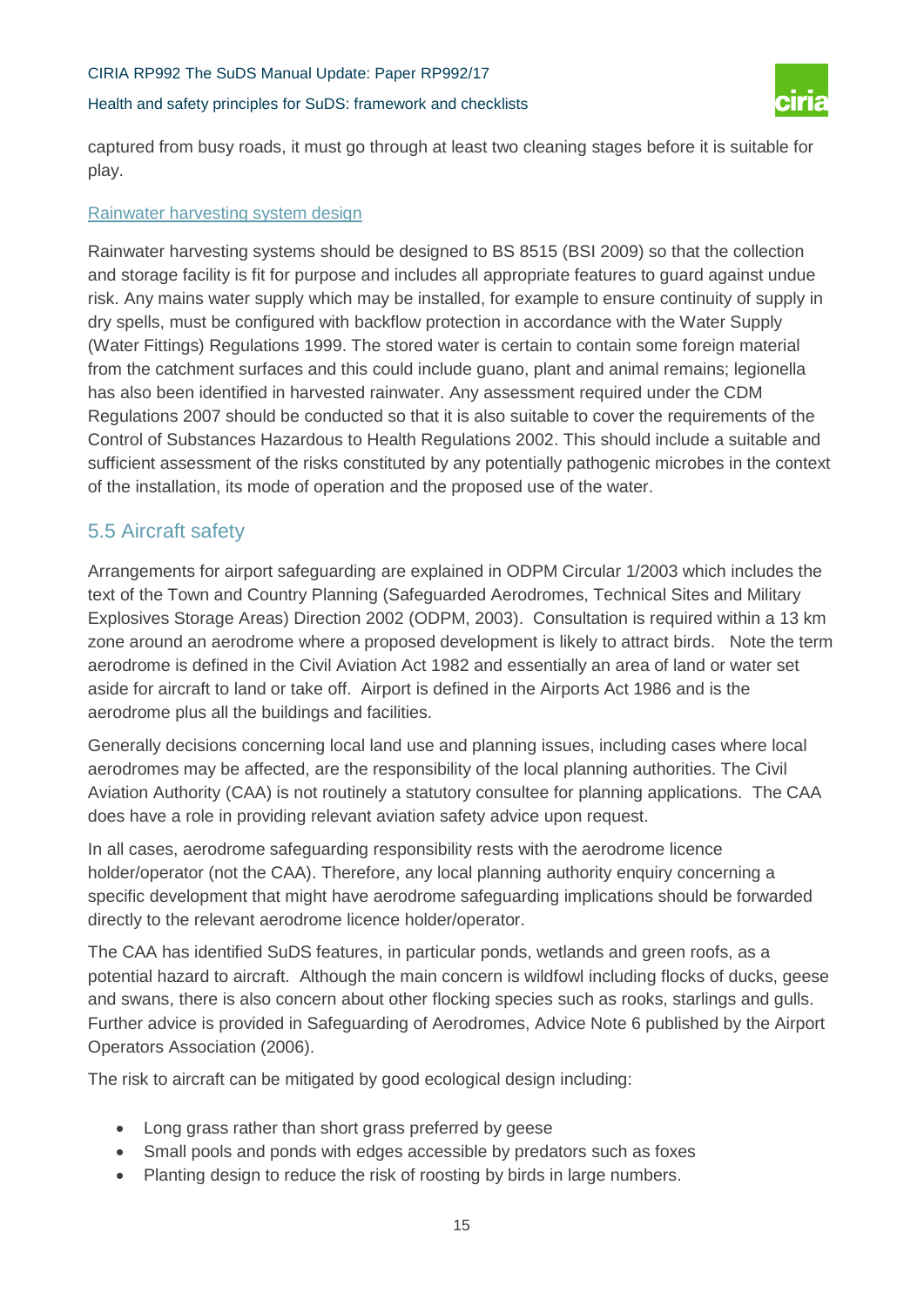#### Health and safety principles for SuDS: framework and checklists



captured from busy roads, it must go through at least two cleaning stages before it is suitable for play.

#### Rainwater harvesting system design

Rainwater harvesting systems should be designed to BS 8515 (BSI 2009) so that the collection and storage facility is fit for purpose and includes all appropriate features to guard against undue risk. Any mains water supply which may be installed, for example to ensure continuity of supply in dry spells, must be configured with backflow protection in accordance with the Water Supply (Water Fittings) Regulations 1999. The stored water is certain to contain some foreign material from the catchment surfaces and this could include guano, plant and animal remains; legionella has also been identified in harvested rainwater. Any assessment required under the CDM Regulations 2007 should be conducted so that it is also suitable to cover the requirements of the Control of Substances Hazardous to Health Regulations 2002. This should include a suitable and sufficient assessment of the risks constituted by any potentially pathogenic microbes in the context of the installation, its mode of operation and the proposed use of the water.

### 5.5 Aircraft safety

Arrangements for airport safeguarding are explained in ODPM Circular 1/2003 which includes the text of the Town and Country Planning (Safeguarded Aerodromes, Technical Sites and Military Explosives Storage Areas) Direction 2002 (ODPM, 2003). Consultation is required within a 13 km zone around an aerodrome where a proposed development is likely to attract birds. Note the term aerodrome is defined in the Civil Aviation Act 1982 and essentially an area of land or water set aside for aircraft to land or take off. Airport is defined in the Airports Act 1986 and is the aerodrome plus all the buildings and facilities.

Generally decisions concerning local land use and planning issues, including cases where local aerodromes may be affected, are the responsibility of the local planning authorities. The Civil Aviation Authority (CAA) is not routinely a statutory consultee for planning applications. The CAA does have a role in providing relevant aviation safety advice upon request.

In all cases, aerodrome safeguarding responsibility rests with the aerodrome licence holder/operator (not the CAA). Therefore, any local planning authority enquiry concerning a specific development that might have aerodrome safeguarding implications should be forwarded directly to the relevant aerodrome licence holder/operator.

The CAA has identified SuDS features, in particular ponds, wetlands and green roofs, as a potential hazard to aircraft. Although the main concern is wildfowl including flocks of ducks, geese and swans, there is also concern about other flocking species such as rooks, starlings and gulls. Further advice is provided in Safeguarding of Aerodromes, Advice Note 6 published by the Airport Operators Association (2006).

The risk to aircraft can be mitigated by good ecological design including:

- Long grass rather than short grass preferred by geese
- Small pools and ponds with edges accessible by predators such as foxes
- Planting design to reduce the risk of roosting by birds in large numbers.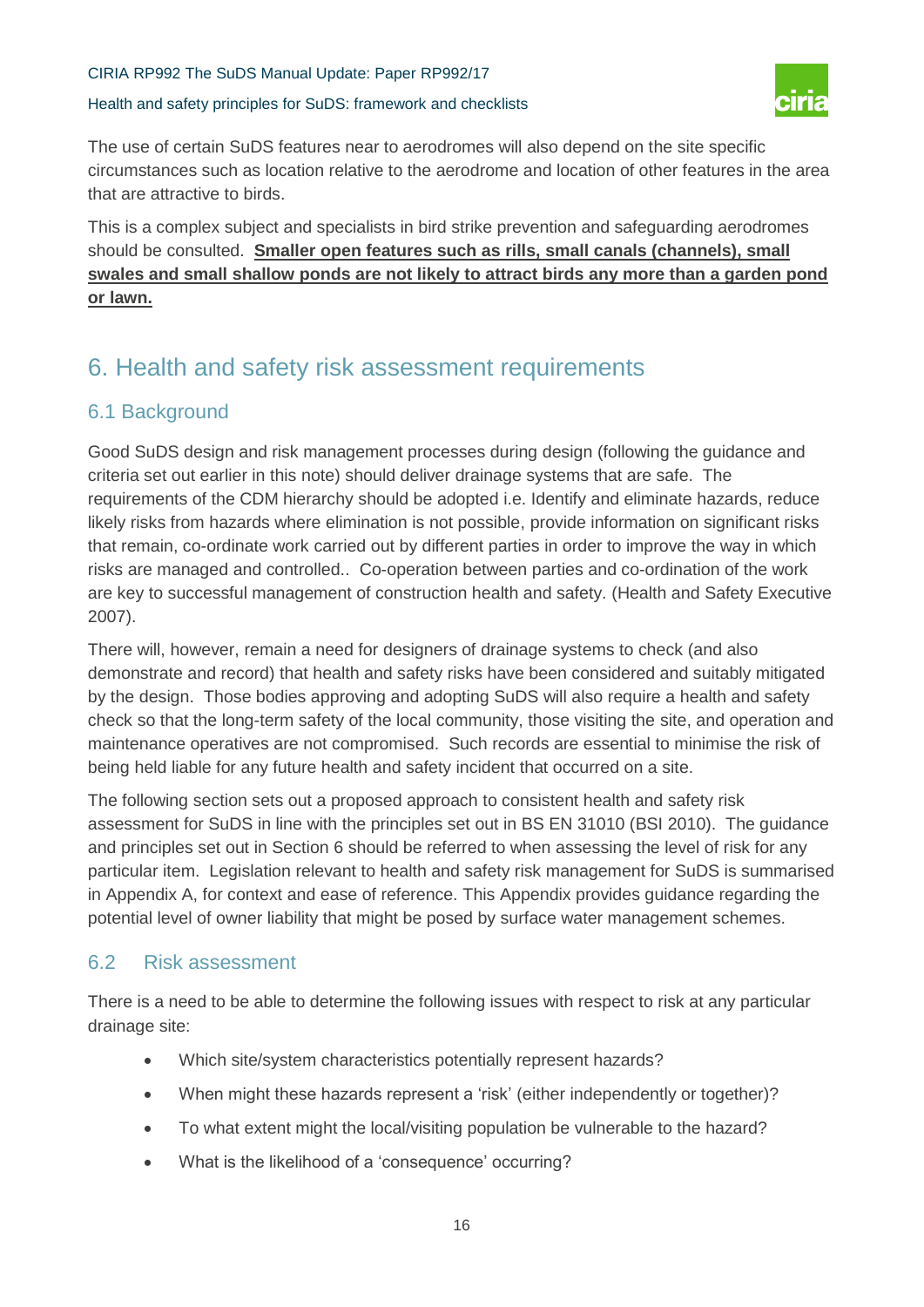Health and safety principles for SuDS: framework and checklists



The use of certain SuDS features near to aerodromes will also depend on the site specific circumstances such as location relative to the aerodrome and location of other features in the area that are attractive to birds.

This is a complex subject and specialists in bird strike prevention and safeguarding aerodromes should be consulted. **Smaller open features such as rills, small canals (channels), small swales and small shallow ponds are not likely to attract birds any more than a garden pond or lawn.**

# 6. Health and safety risk assessment requirements

### 6.1 Background

Good SuDS design and risk management processes during design (following the guidance and criteria set out earlier in this note) should deliver drainage systems that are safe. The requirements of the CDM hierarchy should be adopted i.e. Identify and eliminate hazards, reduce likely risks from hazards where elimination is not possible, provide information on significant risks that remain, co-ordinate work carried out by different parties in order to improve the way in which risks are managed and controlled.. Co-operation between parties and co-ordination of the work are key to successful management of construction health and safety. (Health and Safety Executive 2007).

There will, however, remain a need for designers of drainage systems to check (and also demonstrate and record) that health and safety risks have been considered and suitably mitigated by the design. Those bodies approving and adopting SuDS will also require a health and safety check so that the long-term safety of the local community, those visiting the site, and operation and maintenance operatives are not compromised. Such records are essential to minimise the risk of being held liable for any future health and safety incident that occurred on a site.

The following section sets out a proposed approach to consistent health and safety risk assessment for SuDS in line with the principles set out in BS EN 31010 (BSI 2010). The guidance and principles set out in Section 6 should be referred to when assessing the level of risk for any particular item. Legislation relevant to health and safety risk management for SuDS is summarised in Appendix A, for context and ease of reference. This Appendix provides guidance regarding the potential level of owner liability that might be posed by surface water management schemes.

### 6.2 Risk assessment

There is a need to be able to determine the following issues with respect to risk at any particular drainage site:

- Which site/system characteristics potentially represent hazards?
- When might these hazards represent a 'risk' (either independently or together)?
- To what extent might the local/visiting population be vulnerable to the hazard?
- What is the likelihood of a 'consequence' occurring?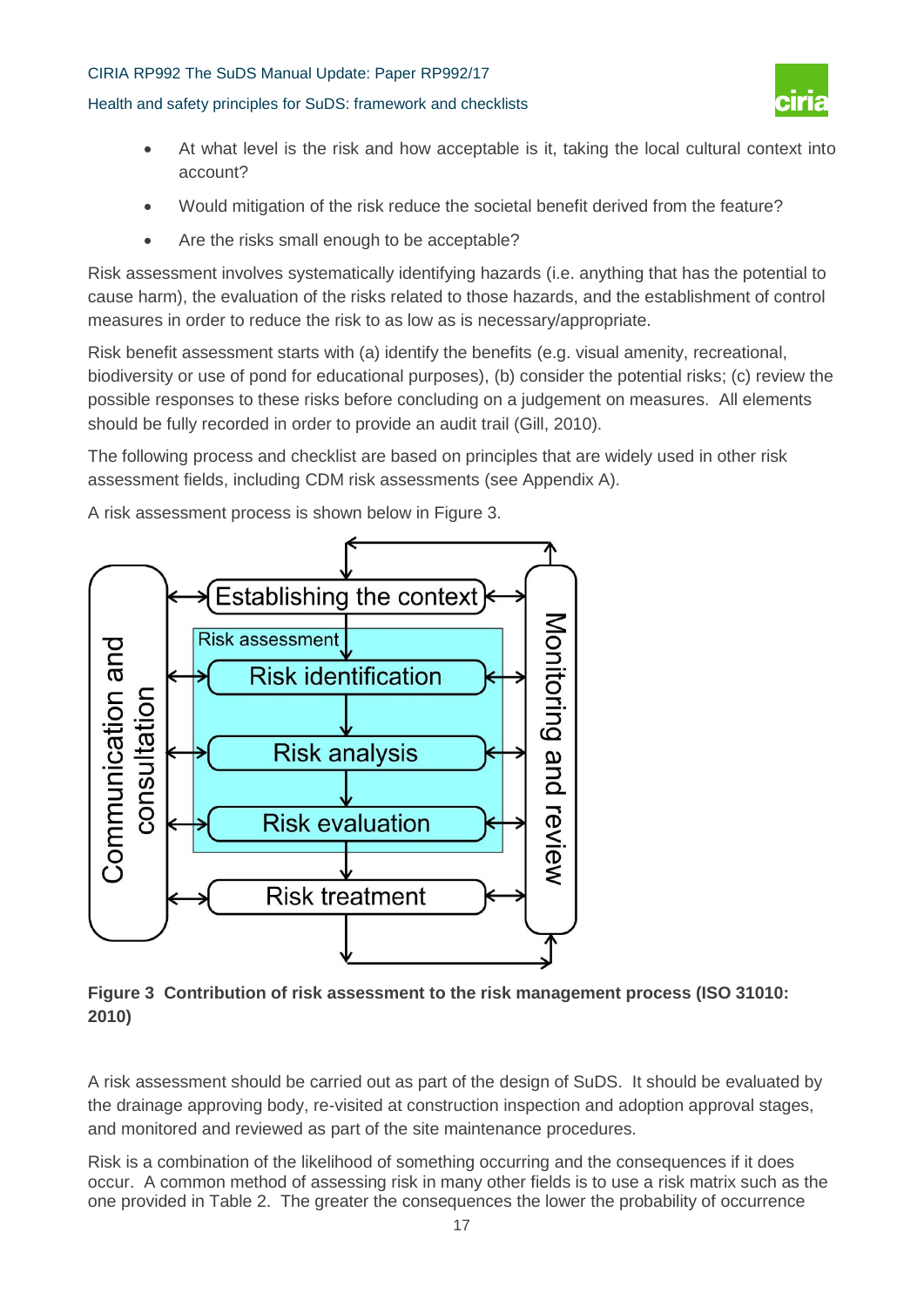#### Health and safety principles for SuDS: framework and checklists



- At what level is the risk and how acceptable is it, taking the local cultural context into account?
- Would mitigation of the risk reduce the societal benefit derived from the feature?
- Are the risks small enough to be acceptable?

Risk assessment involves systematically identifying hazards (i.e. anything that has the potential to cause harm), the evaluation of the risks related to those hazards, and the establishment of control measures in order to reduce the risk to as low as is necessary/appropriate.

Risk benefit assessment starts with (a) identify the benefits (e.g. visual amenity, recreational, biodiversity or use of pond for educational purposes), (b) consider the potential risks; (c) review the possible responses to these risks before concluding on a judgement on measures. All elements should be fully recorded in order to provide an audit trail (Gill, 2010).

The following process and checklist are based on principles that are widely used in other risk assessment fields, including CDM risk assessments (see Appendix A).

A risk assessment process is shown below in Figure 3.



**Figure 3 Contribution of risk assessment to the risk management process (ISO 31010: 2010)**

A risk assessment should be carried out as part of the design of SuDS. It should be evaluated by the drainage approving body, re-visited at construction inspection and adoption approval stages, and monitored and reviewed as part of the site maintenance procedures.

Risk is a combination of the likelihood of something occurring and the consequences if it does occur. A common method of assessing risk in many other fields is to use a risk matrix such as the one provided in Table 2. The greater the consequences the lower the probability of occurrence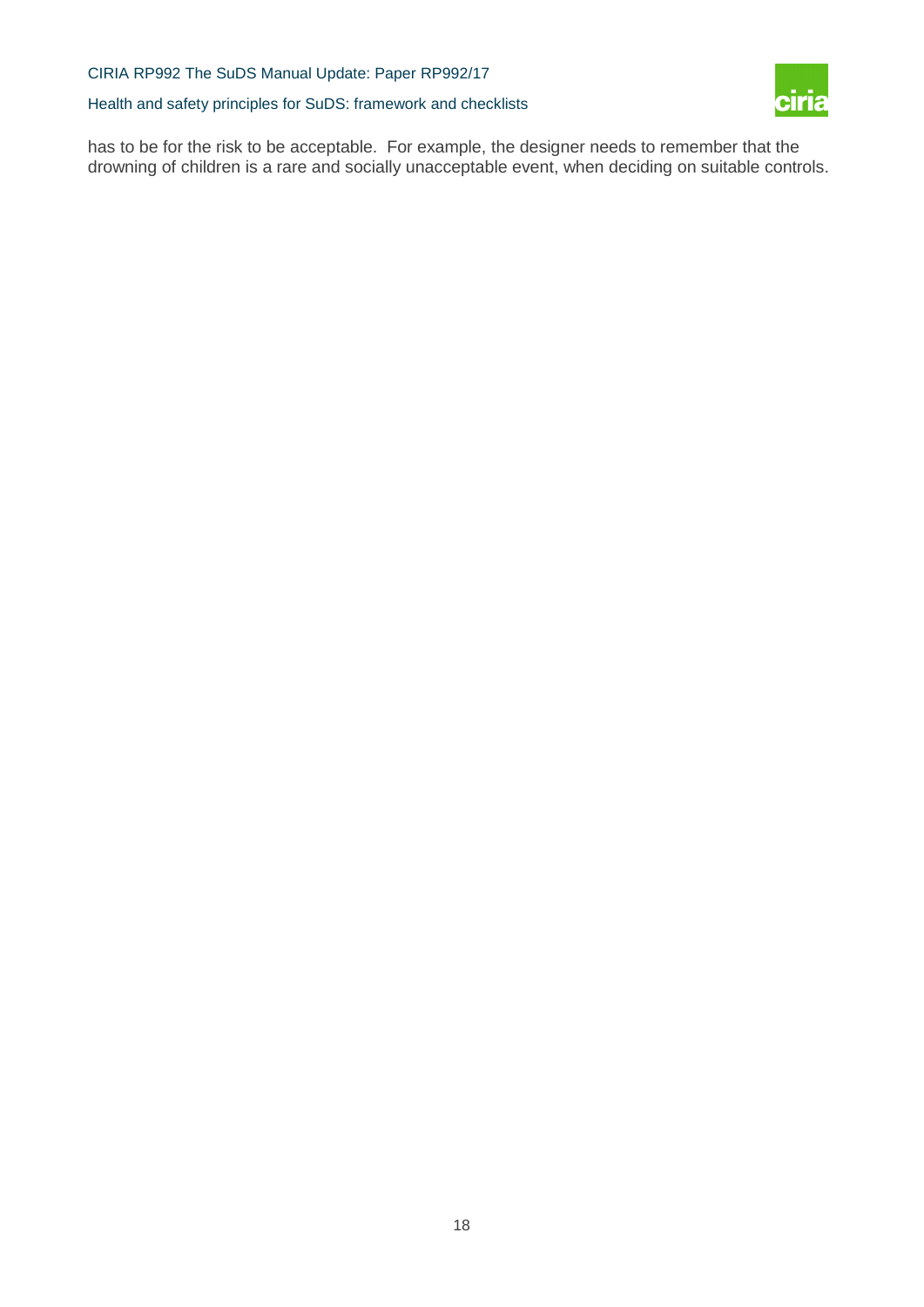Health and safety principles for SuDS: framework and checklists



has to be for the risk to be acceptable. For example, the designer needs to remember that the drowning of children is a rare and socially unacceptable event, when deciding on suitable controls.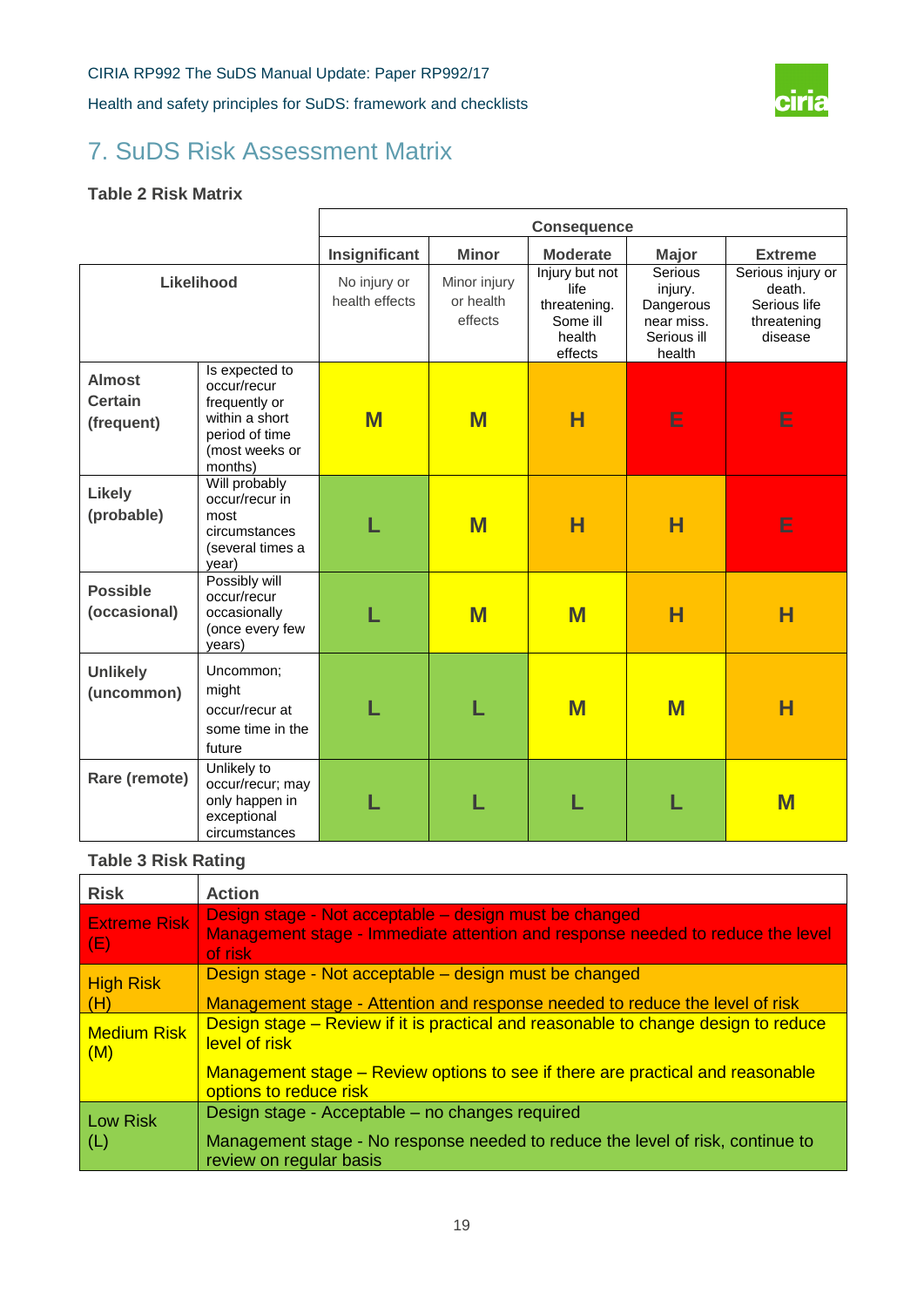

# 7. SuDS Risk Assessment Matrix

#### **Table 2 Risk Matrix**

|                                               |                                                                                                                 | <b>Consequence</b>             |                                      |                                                                         |                                                                        |                                                                       |  |  |
|-----------------------------------------------|-----------------------------------------------------------------------------------------------------------------|--------------------------------|--------------------------------------|-------------------------------------------------------------------------|------------------------------------------------------------------------|-----------------------------------------------------------------------|--|--|
|                                               |                                                                                                                 | Insignificant                  | <b>Minor</b>                         | <b>Moderate</b>                                                         | <b>Major</b>                                                           | <b>Extreme</b>                                                        |  |  |
|                                               | Likelihood                                                                                                      | No injury or<br>health effects | Minor injury<br>or health<br>effects | Injury but not<br>life<br>threatening.<br>Some ill<br>health<br>effects | Serious<br>injury.<br>Dangerous<br>near miss.<br>Serious ill<br>health | Serious injury or<br>death.<br>Serious life<br>threatening<br>disease |  |  |
| <b>Almost</b><br><b>Certain</b><br>(frequent) | Is expected to<br>occur/recur<br>frequently or<br>within a short<br>period of time<br>(most weeks or<br>months) | M                              | $\overline{\mathsf{M}}$              | н                                                                       | E                                                                      | E                                                                     |  |  |
| <b>Likely</b><br>(probable)                   | Will probably<br>occur/recur in<br>most<br>circumstances<br>(several times a<br>year)                           |                                | M                                    | н                                                                       | Н                                                                      | E                                                                     |  |  |
| <b>Possible</b><br>(occasional)               | Possibly will<br>occur/recur<br>occasionally<br>(once every few<br>years)                                       |                                | M                                    | M                                                                       | н                                                                      | н                                                                     |  |  |
| <b>Unlikely</b><br>(uncommon)                 | Uncommon;<br>might<br>occur/recur at<br>some time in the<br>future                                              |                                |                                      | M                                                                       | M                                                                      | н                                                                     |  |  |
| Rare (remote)                                 | Unlikely to<br>occur/recur; may<br>only happen in<br>exceptional<br>circumstances                               |                                |                                      |                                                                         |                                                                        | M                                                                     |  |  |

### **Table 3 Risk Rating**

| <b>Risk</b>                | <b>Action</b>                                                                                                                                       |  |  |  |  |  |  |
|----------------------------|-----------------------------------------------------------------------------------------------------------------------------------------------------|--|--|--|--|--|--|
| <b>Extreme Risk</b><br>(E) | Design stage - Not acceptable – design must be changed<br>Management stage - Immediate attention and response needed to reduce the level<br>of risk |  |  |  |  |  |  |
| <b>High Risk</b>           | Design stage - Not acceptable – design must be changed                                                                                              |  |  |  |  |  |  |
| (H)                        | Management stage - Attention and response needed to reduce the level of risk                                                                        |  |  |  |  |  |  |
| <b>Medium Risk</b><br>(M)  | Design stage – Review if it is practical and reasonable to change design to reduce<br>level of risk                                                 |  |  |  |  |  |  |
|                            | Management stage – Review options to see if there are practical and reasonable<br>options to reduce risk                                            |  |  |  |  |  |  |
| Low Risk                   | Design stage - Acceptable – no changes required                                                                                                     |  |  |  |  |  |  |
| (L)                        | Management stage - No response needed to reduce the level of risk, continue to<br>review on regular basis                                           |  |  |  |  |  |  |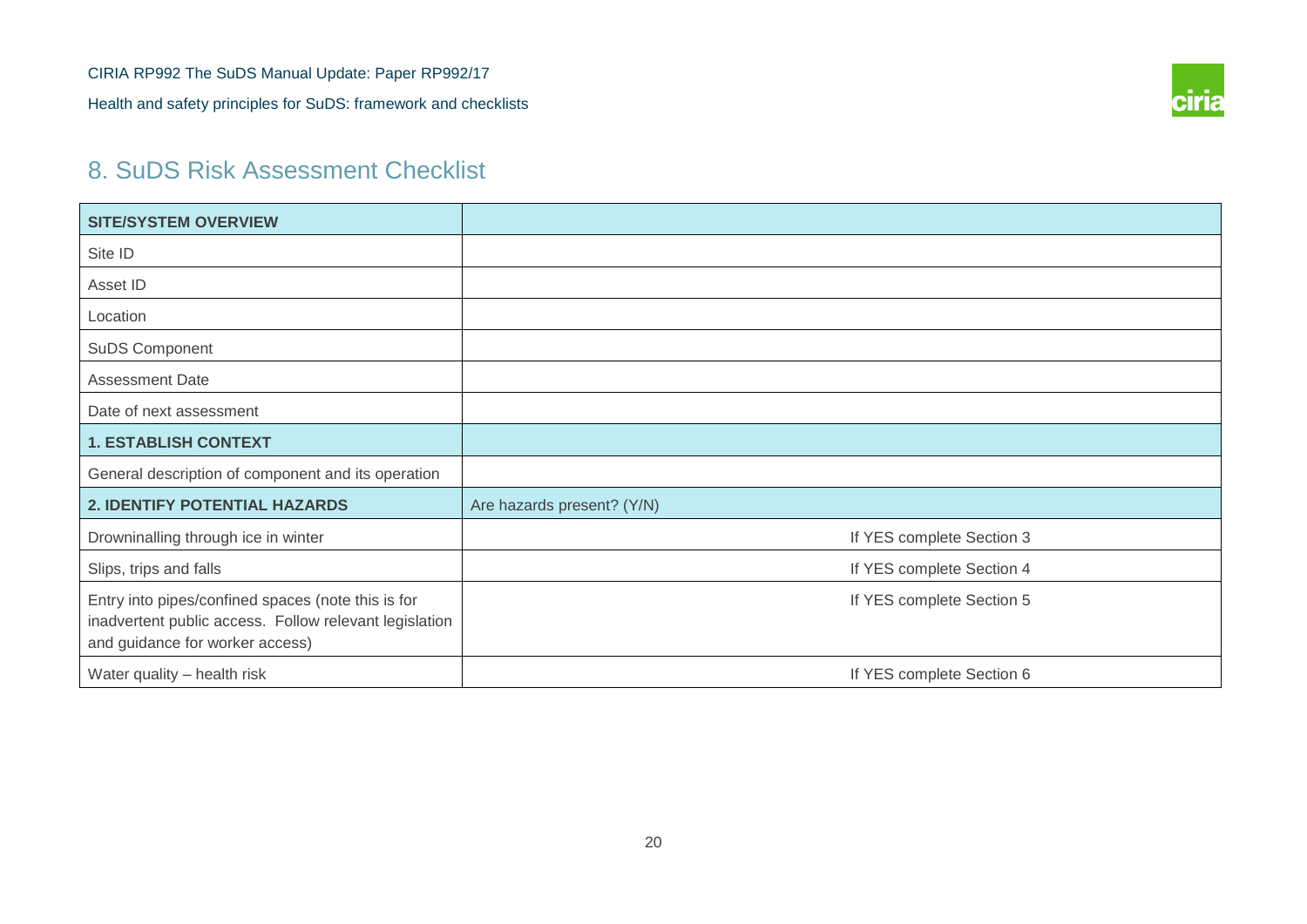

# 8. SuDS Risk Assessment Checklist

| <b>SITE/SYSTEM OVERVIEW</b>                                                                                                                     |                            |
|-------------------------------------------------------------------------------------------------------------------------------------------------|----------------------------|
| Site ID                                                                                                                                         |                            |
| Asset ID                                                                                                                                        |                            |
| Location                                                                                                                                        |                            |
| SuDS Component                                                                                                                                  |                            |
| <b>Assessment Date</b>                                                                                                                          |                            |
| Date of next assessment                                                                                                                         |                            |
| <b>1. ESTABLISH CONTEXT</b>                                                                                                                     |                            |
| General description of component and its operation                                                                                              |                            |
| 2. IDENTIFY POTENTIAL HAZARDS                                                                                                                   | Are hazards present? (Y/N) |
| Drowninalling through ice in winter                                                                                                             | If YES complete Section 3  |
| Slips, trips and falls                                                                                                                          | If YES complete Section 4  |
| Entry into pipes/confined spaces (note this is for<br>inadvertent public access. Follow relevant legislation<br>and guidance for worker access) | If YES complete Section 5  |
| Water quality - health risk                                                                                                                     | If YES complete Section 6  |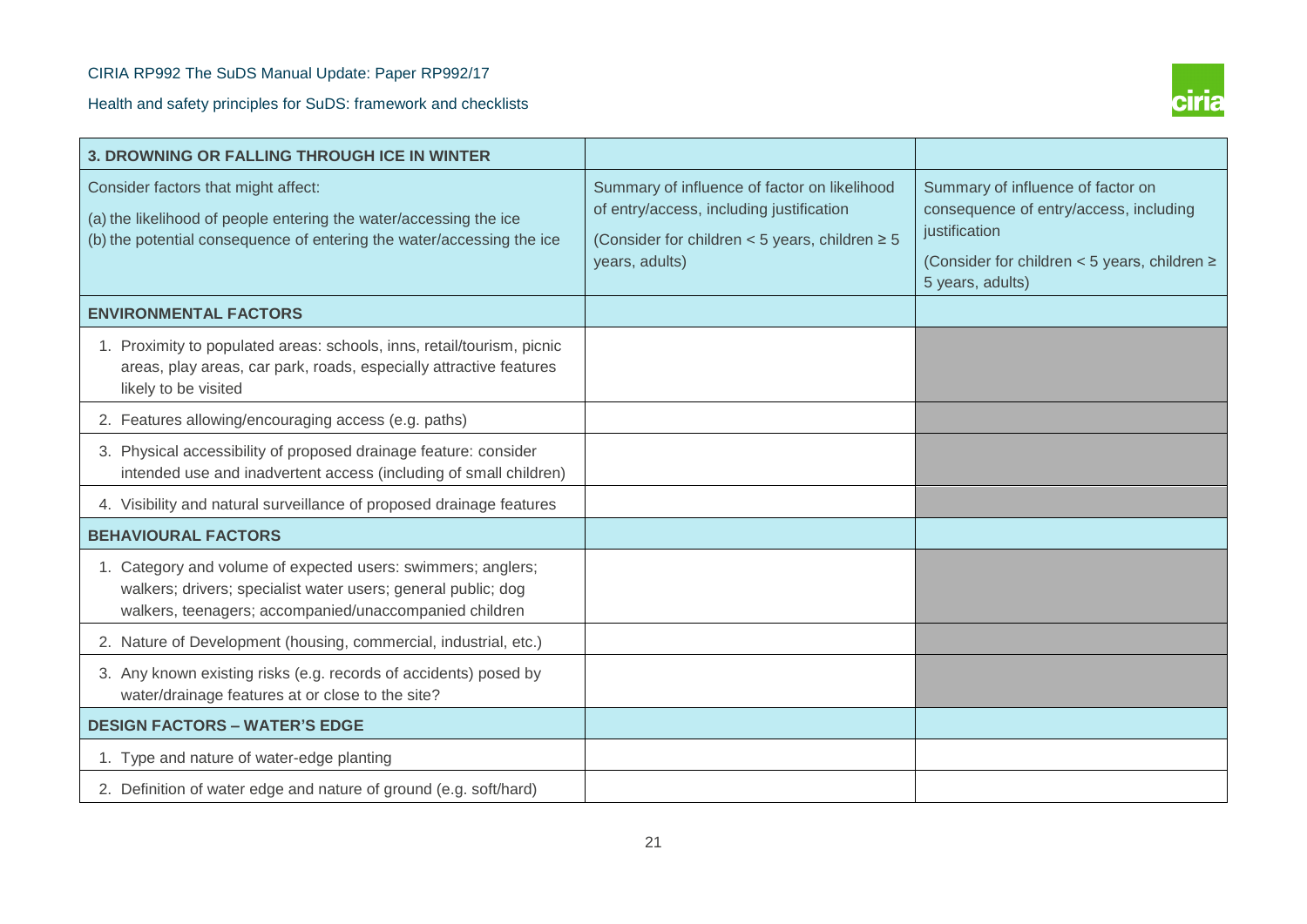

| 3. DROWNING OR FALLING THROUGH ICE IN WINTER                                                                                                                                            |                                                                                                                                                                   |                                                                                                                                                                      |
|-----------------------------------------------------------------------------------------------------------------------------------------------------------------------------------------|-------------------------------------------------------------------------------------------------------------------------------------------------------------------|----------------------------------------------------------------------------------------------------------------------------------------------------------------------|
| Consider factors that might affect:<br>(a) the likelihood of people entering the water/accessing the ice<br>(b) the potential consequence of entering the water/accessing the ice       | Summary of influence of factor on likelihood<br>of entry/access, including justification<br>(Consider for children < 5 years, children $\geq 5$<br>years, adults) | Summary of influence of factor on<br>consequence of entry/access, including<br>justification<br>(Consider for children < 5 years, children $\ge$<br>5 years, adults) |
| <b>ENVIRONMENTAL FACTORS</b>                                                                                                                                                            |                                                                                                                                                                   |                                                                                                                                                                      |
| 1. Proximity to populated areas: schools, inns, retail/tourism, picnic<br>areas, play areas, car park, roads, especially attractive features<br>likely to be visited                    |                                                                                                                                                                   |                                                                                                                                                                      |
| 2. Features allowing/encouraging access (e.g. paths)                                                                                                                                    |                                                                                                                                                                   |                                                                                                                                                                      |
| 3. Physical accessibility of proposed drainage feature: consider<br>intended use and inadvertent access (including of small children)                                                   |                                                                                                                                                                   |                                                                                                                                                                      |
| 4. Visibility and natural surveillance of proposed drainage features                                                                                                                    |                                                                                                                                                                   |                                                                                                                                                                      |
| <b>BEHAVIOURAL FACTORS</b>                                                                                                                                                              |                                                                                                                                                                   |                                                                                                                                                                      |
| 1. Category and volume of expected users: swimmers; anglers;<br>walkers; drivers; specialist water users; general public; dog<br>walkers, teenagers; accompanied/unaccompanied children |                                                                                                                                                                   |                                                                                                                                                                      |
| 2. Nature of Development (housing, commercial, industrial, etc.)                                                                                                                        |                                                                                                                                                                   |                                                                                                                                                                      |
| 3. Any known existing risks (e.g. records of accidents) posed by<br>water/drainage features at or close to the site?                                                                    |                                                                                                                                                                   |                                                                                                                                                                      |
| <b>DESIGN FACTORS - WATER'S EDGE</b>                                                                                                                                                    |                                                                                                                                                                   |                                                                                                                                                                      |
| 1. Type and nature of water-edge planting                                                                                                                                               |                                                                                                                                                                   |                                                                                                                                                                      |
| 2. Definition of water edge and nature of ground (e.g. soft/hard)                                                                                                                       |                                                                                                                                                                   |                                                                                                                                                                      |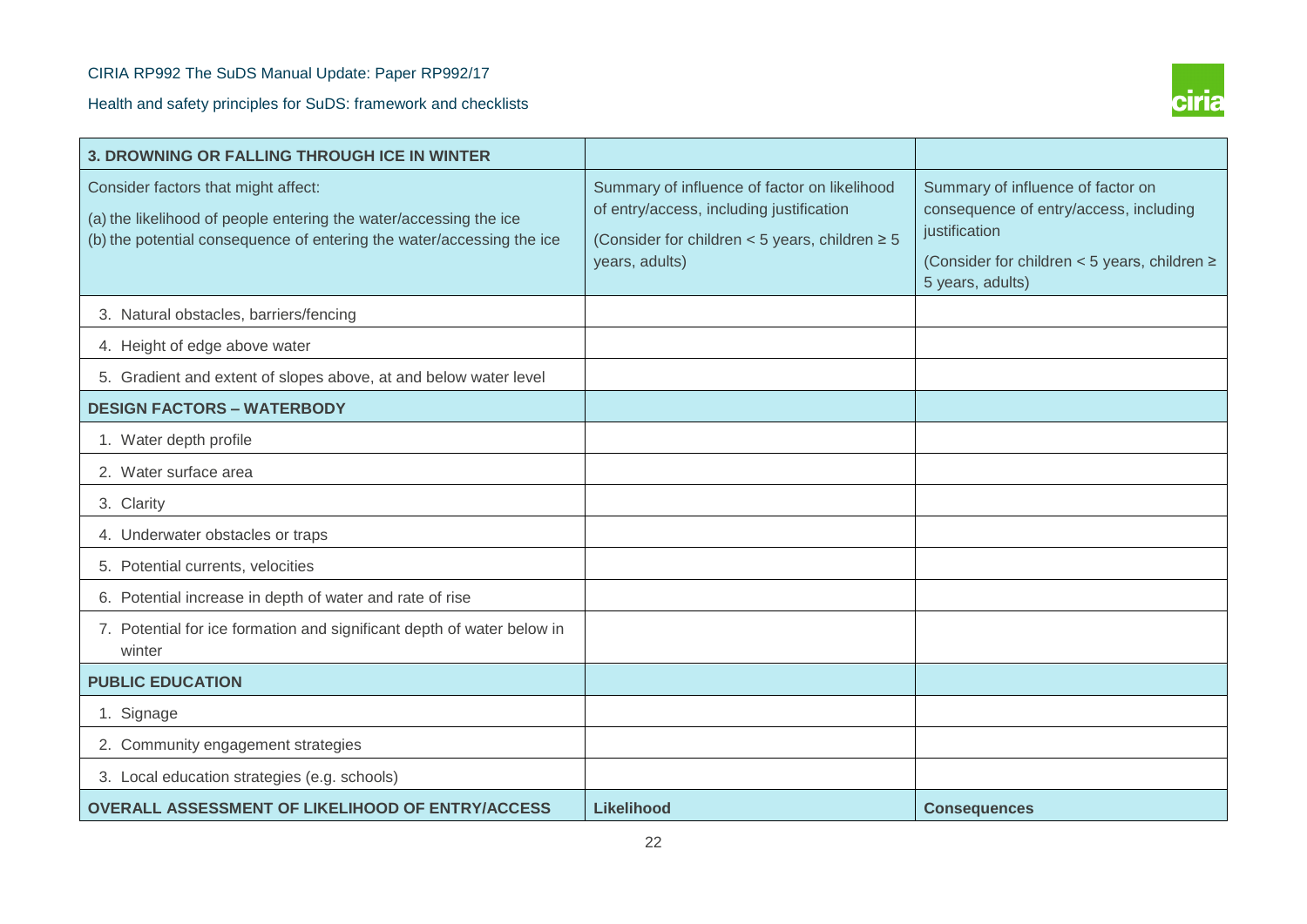

| <b>3. DROWNING OR FALLING THROUGH ICE IN WINTER</b>                                                                                                                               |                                                                                                                                                                   |                                                                                                                                                                       |
|-----------------------------------------------------------------------------------------------------------------------------------------------------------------------------------|-------------------------------------------------------------------------------------------------------------------------------------------------------------------|-----------------------------------------------------------------------------------------------------------------------------------------------------------------------|
| Consider factors that might affect:<br>(a) the likelihood of people entering the water/accessing the ice<br>(b) the potential consequence of entering the water/accessing the ice | Summary of influence of factor on likelihood<br>of entry/access, including justification<br>(Consider for children < 5 years, children $\geq 5$<br>years, adults) | Summary of influence of factor on<br>consequence of entry/access, including<br>justification<br>(Consider for children < 5 years, children $\geq$<br>5 years, adults) |
| 3. Natural obstacles, barriers/fencing                                                                                                                                            |                                                                                                                                                                   |                                                                                                                                                                       |
| 4. Height of edge above water                                                                                                                                                     |                                                                                                                                                                   |                                                                                                                                                                       |
| 5. Gradient and extent of slopes above, at and below water level                                                                                                                  |                                                                                                                                                                   |                                                                                                                                                                       |
| <b>DESIGN FACTORS - WATERBODY</b>                                                                                                                                                 |                                                                                                                                                                   |                                                                                                                                                                       |
| 1. Water depth profile                                                                                                                                                            |                                                                                                                                                                   |                                                                                                                                                                       |
| 2. Water surface area                                                                                                                                                             |                                                                                                                                                                   |                                                                                                                                                                       |
| 3. Clarity                                                                                                                                                                        |                                                                                                                                                                   |                                                                                                                                                                       |
| 4. Underwater obstacles or traps                                                                                                                                                  |                                                                                                                                                                   |                                                                                                                                                                       |
| 5. Potential currents, velocities                                                                                                                                                 |                                                                                                                                                                   |                                                                                                                                                                       |
| 6. Potential increase in depth of water and rate of rise                                                                                                                          |                                                                                                                                                                   |                                                                                                                                                                       |
| 7. Potential for ice formation and significant depth of water below in<br>winter                                                                                                  |                                                                                                                                                                   |                                                                                                                                                                       |
| <b>PUBLIC EDUCATION</b>                                                                                                                                                           |                                                                                                                                                                   |                                                                                                                                                                       |
| 1. Signage                                                                                                                                                                        |                                                                                                                                                                   |                                                                                                                                                                       |
| 2. Community engagement strategies                                                                                                                                                |                                                                                                                                                                   |                                                                                                                                                                       |
| 3. Local education strategies (e.g. schools)                                                                                                                                      |                                                                                                                                                                   |                                                                                                                                                                       |
| <b>OVERALL ASSESSMENT OF LIKELIHOOD OF ENTRY/ACCESS</b>                                                                                                                           | <b>Likelihood</b>                                                                                                                                                 | <b>Consequences</b>                                                                                                                                                   |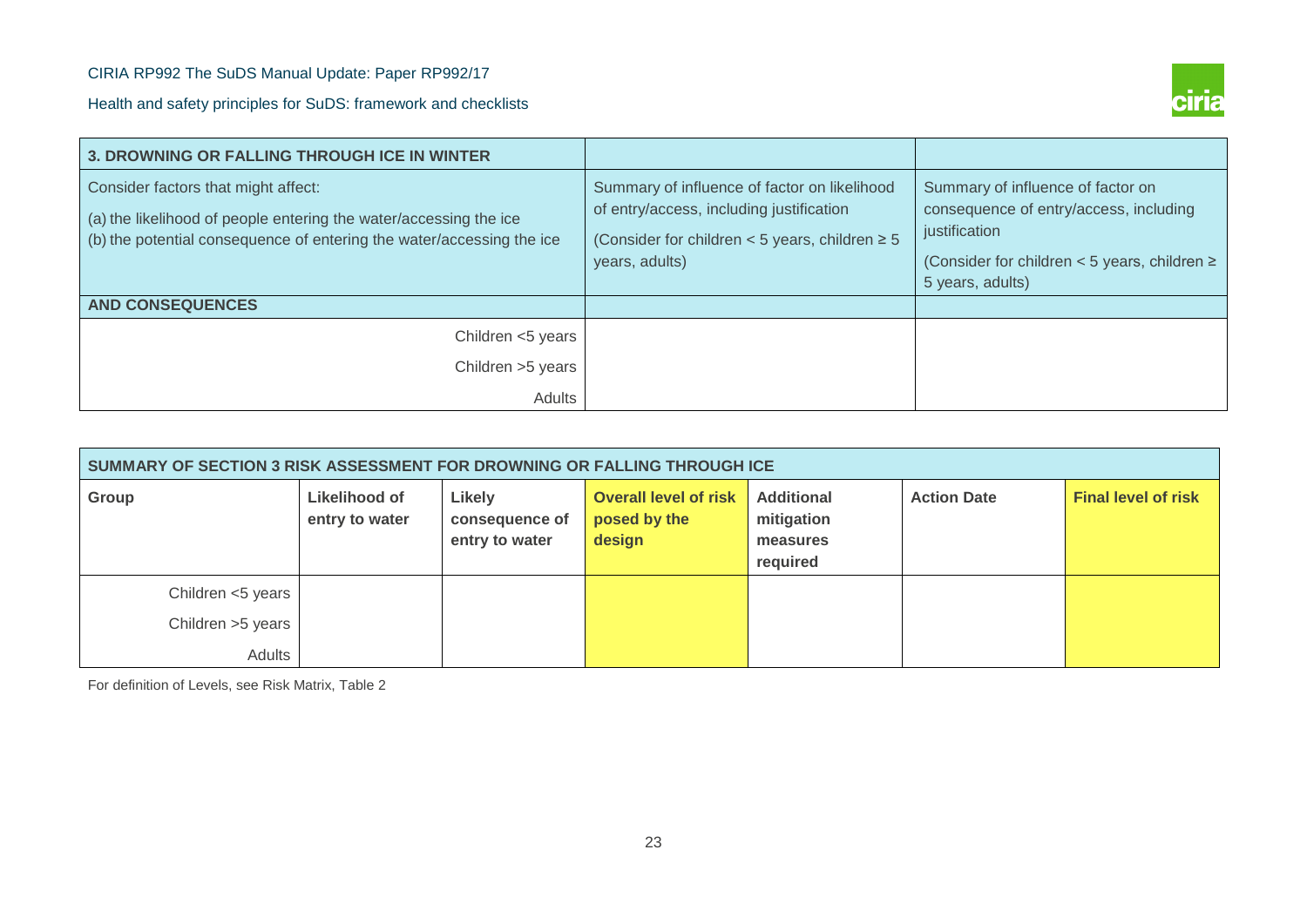

| <b>3. DROWNING OR FALLING THROUGH ICE IN WINTER</b>                                                                                                                               |                                                                                                                                                                   |                                                                                                                                                                       |
|-----------------------------------------------------------------------------------------------------------------------------------------------------------------------------------|-------------------------------------------------------------------------------------------------------------------------------------------------------------------|-----------------------------------------------------------------------------------------------------------------------------------------------------------------------|
| Consider factors that might affect:<br>(a) the likelihood of people entering the water/accessing the ice<br>(b) the potential consequence of entering the water/accessing the ice | Summary of influence of factor on likelihood<br>of entry/access, including justification<br>(Consider for children < 5 years, children $\geq 5$<br>years, adults) | Summary of influence of factor on<br>consequence of entry/access, including<br>justification<br>(Consider for children < 5 years, children $\geq$<br>5 years, adults) |
| <b>AND CONSEQUENCES</b>                                                                                                                                                           |                                                                                                                                                                   |                                                                                                                                                                       |
| Children <5 years                                                                                                                                                                 |                                                                                                                                                                   |                                                                                                                                                                       |
| Children > 5 years                                                                                                                                                                |                                                                                                                                                                   |                                                                                                                                                                       |
| Adults                                                                                                                                                                            |                                                                                                                                                                   |                                                                                                                                                                       |

| SUMMARY OF SECTION 3 RISK ASSESSMENT FOR DROWNING OR FALLING THROUGH ICE |                                 |                                            |                                                        |                                                         |                    |                            |  |  |  |  |  |
|--------------------------------------------------------------------------|---------------------------------|--------------------------------------------|--------------------------------------------------------|---------------------------------------------------------|--------------------|----------------------------|--|--|--|--|--|
| Group                                                                    | Likelihood of<br>entry to water | Likely<br>consequence of<br>entry to water | <b>Overall level of risk</b><br>posed by the<br>design | <b>Additional</b><br>mitigation<br>measures<br>required | <b>Action Date</b> | <b>Final level of risk</b> |  |  |  |  |  |
| Children <5 years<br>Children >5 years                                   |                                 |                                            |                                                        |                                                         |                    |                            |  |  |  |  |  |
| <b>Adults</b>                                                            |                                 |                                            |                                                        |                                                         |                    |                            |  |  |  |  |  |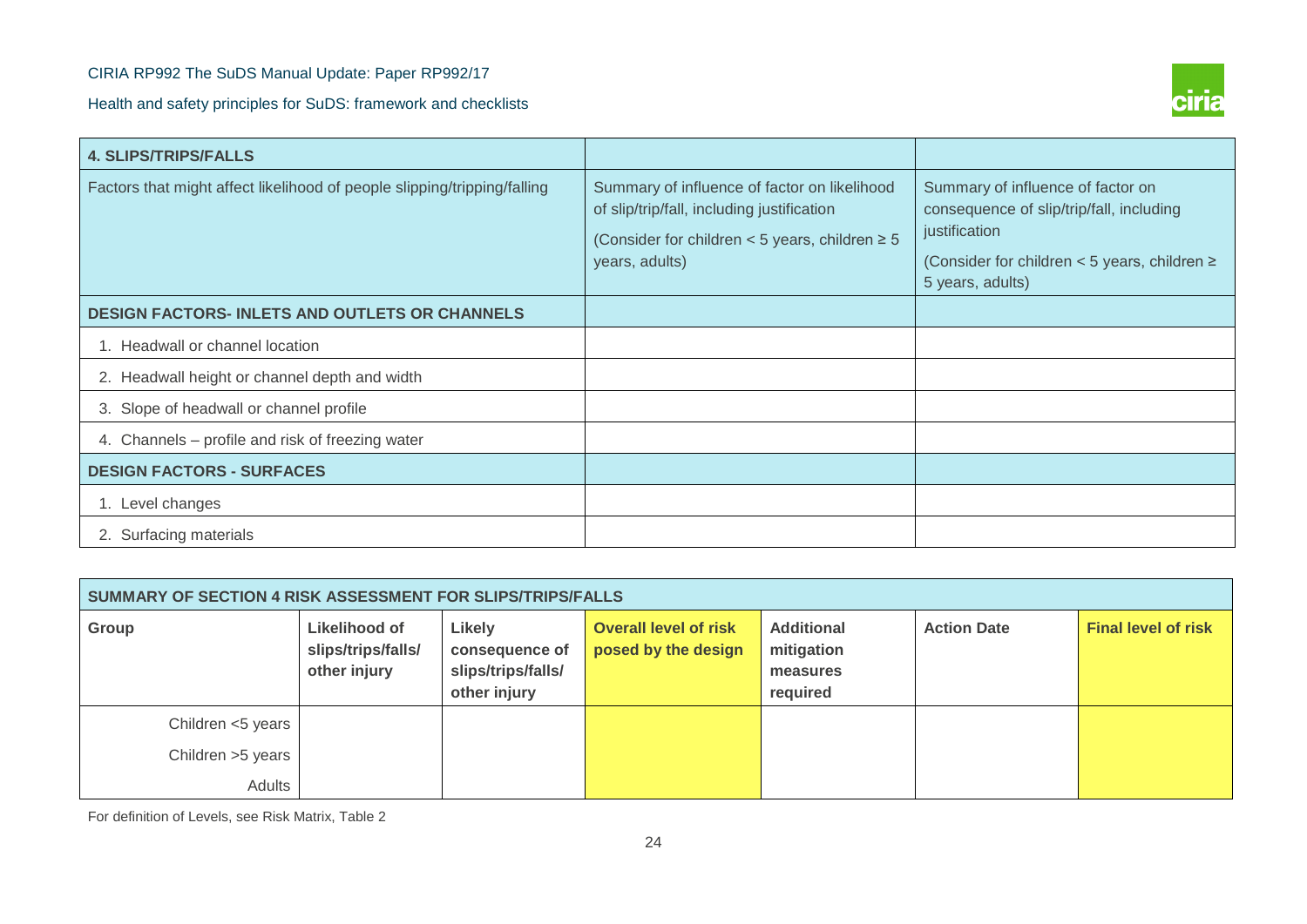

| <b>4. SLIPS/TRIPS/FALLS</b>                                              |                                                                                                                                                                     |                                                                                                                                                                          |
|--------------------------------------------------------------------------|---------------------------------------------------------------------------------------------------------------------------------------------------------------------|--------------------------------------------------------------------------------------------------------------------------------------------------------------------------|
| Factors that might affect likelihood of people slipping/tripping/falling | Summary of influence of factor on likelihood<br>of slip/trip/fall, including justification<br>(Consider for children < 5 years, children $\geq 5$<br>years, adults) | Summary of influence of factor on<br>consequence of slip/trip/fall, including<br>justification<br>(Consider for children $<$ 5 years, children $\ge$<br>5 years, adults) |
| <b>DESIGN FACTORS- INLETS AND OUTLETS OR CHANNELS</b>                    |                                                                                                                                                                     |                                                                                                                                                                          |
| 1. Headwall or channel location                                          |                                                                                                                                                                     |                                                                                                                                                                          |
| 2. Headwall height or channel depth and width                            |                                                                                                                                                                     |                                                                                                                                                                          |
| 3. Slope of headwall or channel profile                                  |                                                                                                                                                                     |                                                                                                                                                                          |
| 4. Channels – profile and risk of freezing water                         |                                                                                                                                                                     |                                                                                                                                                                          |
| <b>DESIGN FACTORS - SURFACES</b>                                         |                                                                                                                                                                     |                                                                                                                                                                          |
| 1. Level changes                                                         |                                                                                                                                                                     |                                                                                                                                                                          |
| 2. Surfacing materials                                                   |                                                                                                                                                                     |                                                                                                                                                                          |

| SUMMARY OF SECTION 4 RISK ASSESSMENT FOR SLIPS/TRIPS/FALLS |                                                            |                                                                |                                                     |                                                         |                    |                            |  |  |  |  |  |
|------------------------------------------------------------|------------------------------------------------------------|----------------------------------------------------------------|-----------------------------------------------------|---------------------------------------------------------|--------------------|----------------------------|--|--|--|--|--|
| Group                                                      | <b>Likelihood of</b><br>slips/trips/falls/<br>other injury | Likely<br>consequence of<br>slips/trips/falls/<br>other injury | <b>Overall level of risk</b><br>posed by the design | <b>Additional</b><br>mitigation<br>measures<br>required | <b>Action Date</b> | <b>Final level of risk</b> |  |  |  |  |  |
| Children <5 years                                          |                                                            |                                                                |                                                     |                                                         |                    |                            |  |  |  |  |  |
| Children >5 years                                          |                                                            |                                                                |                                                     |                                                         |                    |                            |  |  |  |  |  |
| Adults                                                     |                                                            |                                                                |                                                     |                                                         |                    |                            |  |  |  |  |  |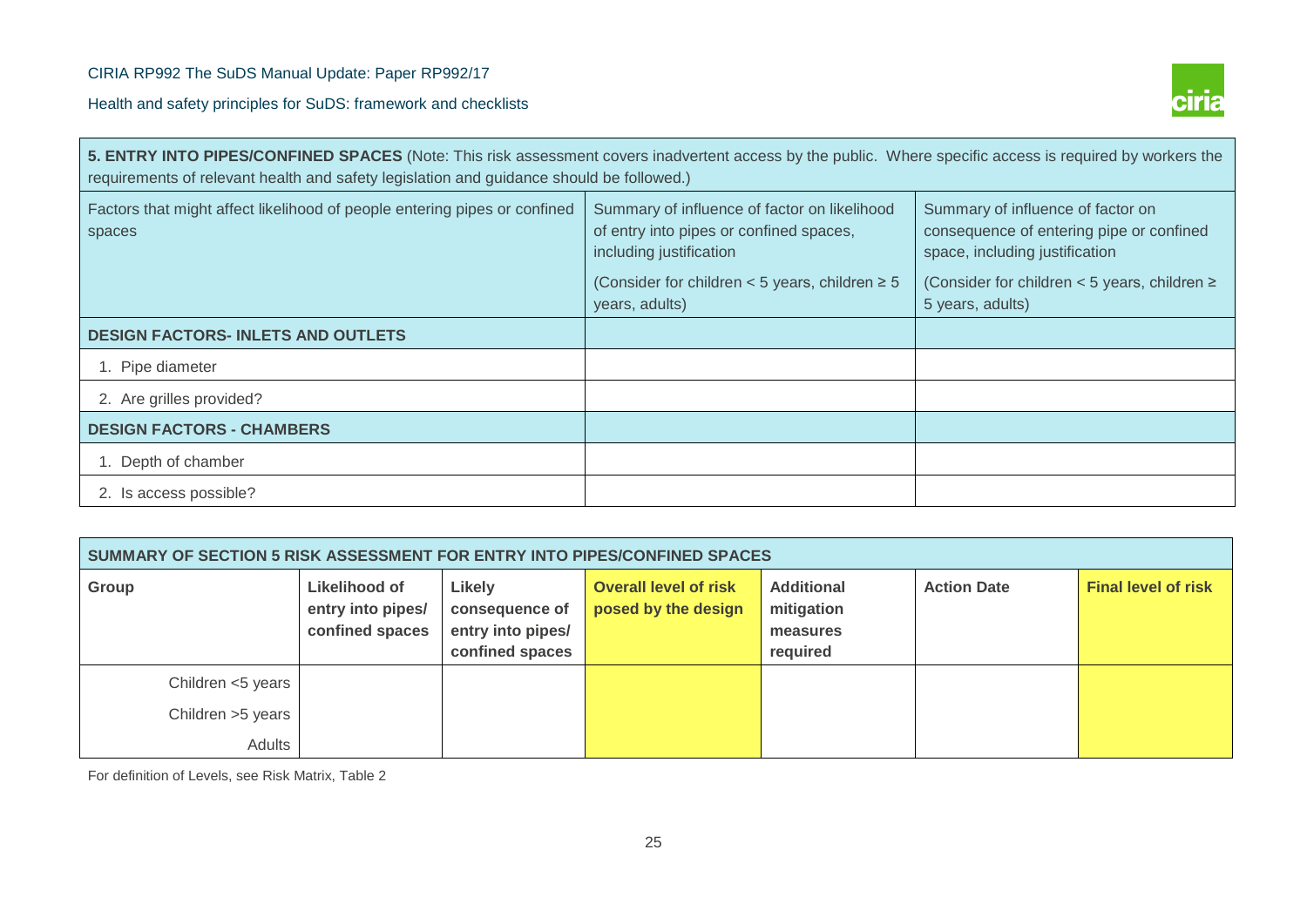

| 5. ENTRY INTO PIPES/CONFINED SPACES (Note: This risk assessment covers inadvertent access by the public. Where specific access is required by workers the<br>requirements of relevant health and safety legislation and guidance should be followed.) |                                                                                                                    |                                                                                                                 |  |  |  |
|-------------------------------------------------------------------------------------------------------------------------------------------------------------------------------------------------------------------------------------------------------|--------------------------------------------------------------------------------------------------------------------|-----------------------------------------------------------------------------------------------------------------|--|--|--|
| Factors that might affect likelihood of people entering pipes or confined<br>spaces                                                                                                                                                                   | Summary of influence of factor on likelihood<br>of entry into pipes or confined spaces,<br>including justification | Summary of influence of factor on<br>consequence of entering pipe or confined<br>space, including justification |  |  |  |
|                                                                                                                                                                                                                                                       | (Consider for children < 5 years, children $\geq 5$<br>years, adults)                                              | (Consider for children < 5 years, children $\ge$<br>5 years, adults)                                            |  |  |  |
| <b>DESIGN FACTORS- INLETS AND OUTLETS</b>                                                                                                                                                                                                             |                                                                                                                    |                                                                                                                 |  |  |  |
| 1. Pipe diameter                                                                                                                                                                                                                                      |                                                                                                                    |                                                                                                                 |  |  |  |
| 2. Are grilles provided?                                                                                                                                                                                                                              |                                                                                                                    |                                                                                                                 |  |  |  |
| <b>DESIGN FACTORS - CHAMBERS</b>                                                                                                                                                                                                                      |                                                                                                                    |                                                                                                                 |  |  |  |
| 1. Depth of chamber                                                                                                                                                                                                                                   |                                                                                                                    |                                                                                                                 |  |  |  |
| 2. Is access possible?                                                                                                                                                                                                                                |                                                                                                                    |                                                                                                                 |  |  |  |

| SUMMARY OF SECTION 5 RISK ASSESSMENT FOR ENTRY INTO PIPES/CONFINED SPACES |                                                       |                                                                  |                                                     |                                                         |                    |                            |
|---------------------------------------------------------------------------|-------------------------------------------------------|------------------------------------------------------------------|-----------------------------------------------------|---------------------------------------------------------|--------------------|----------------------------|
| Group                                                                     | Likelihood of<br>entry into pipes/<br>confined spaces | Likely<br>consequence of<br>entry into pipes/<br>confined spaces | <b>Overall level of risk</b><br>posed by the design | <b>Additional</b><br>mitigation<br>measures<br>required | <b>Action Date</b> | <b>Final level of risk</b> |
| Children <5 years                                                         |                                                       |                                                                  |                                                     |                                                         |                    |                            |
| Children > 5 years                                                        |                                                       |                                                                  |                                                     |                                                         |                    |                            |
| Adults                                                                    |                                                       |                                                                  |                                                     |                                                         |                    |                            |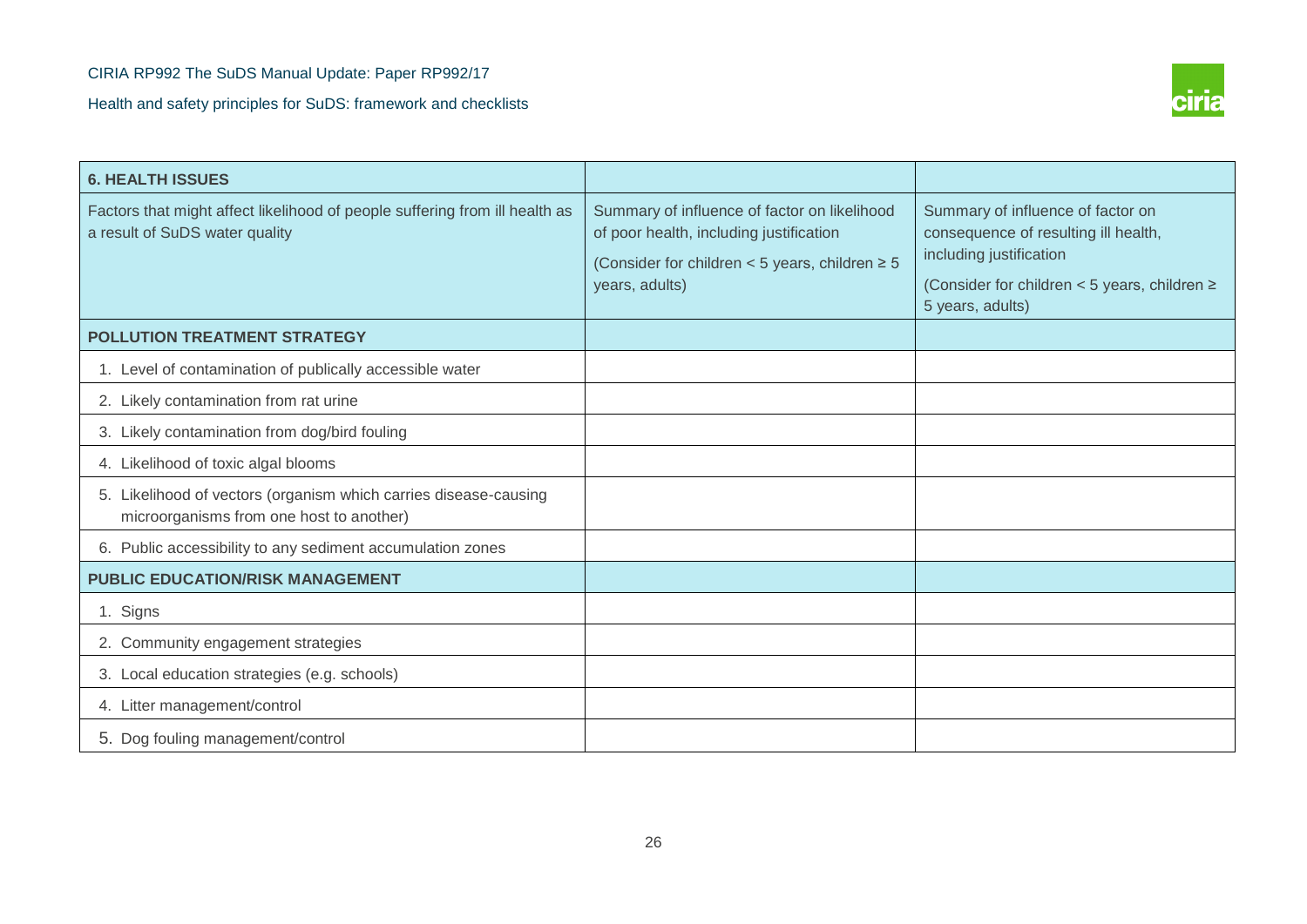

| Summary of influence of factor on likelihood<br>of poor health, including justification<br>(Consider for children $<$ 5 years, children $\ge$ 5<br>years, adults) | Summary of influence of factor on<br>consequence of resulting ill health,<br>including justification<br>(Consider for children < 5 years, children $\ge$<br>5 years, adults) |
|-------------------------------------------------------------------------------------------------------------------------------------------------------------------|------------------------------------------------------------------------------------------------------------------------------------------------------------------------------|
|                                                                                                                                                                   |                                                                                                                                                                              |
|                                                                                                                                                                   |                                                                                                                                                                              |
|                                                                                                                                                                   |                                                                                                                                                                              |
|                                                                                                                                                                   |                                                                                                                                                                              |
|                                                                                                                                                                   |                                                                                                                                                                              |
|                                                                                                                                                                   |                                                                                                                                                                              |
|                                                                                                                                                                   |                                                                                                                                                                              |
|                                                                                                                                                                   |                                                                                                                                                                              |
|                                                                                                                                                                   |                                                                                                                                                                              |
|                                                                                                                                                                   |                                                                                                                                                                              |
|                                                                                                                                                                   |                                                                                                                                                                              |
|                                                                                                                                                                   |                                                                                                                                                                              |
|                                                                                                                                                                   |                                                                                                                                                                              |
|                                                                                                                                                                   |                                                                                                                                                                              |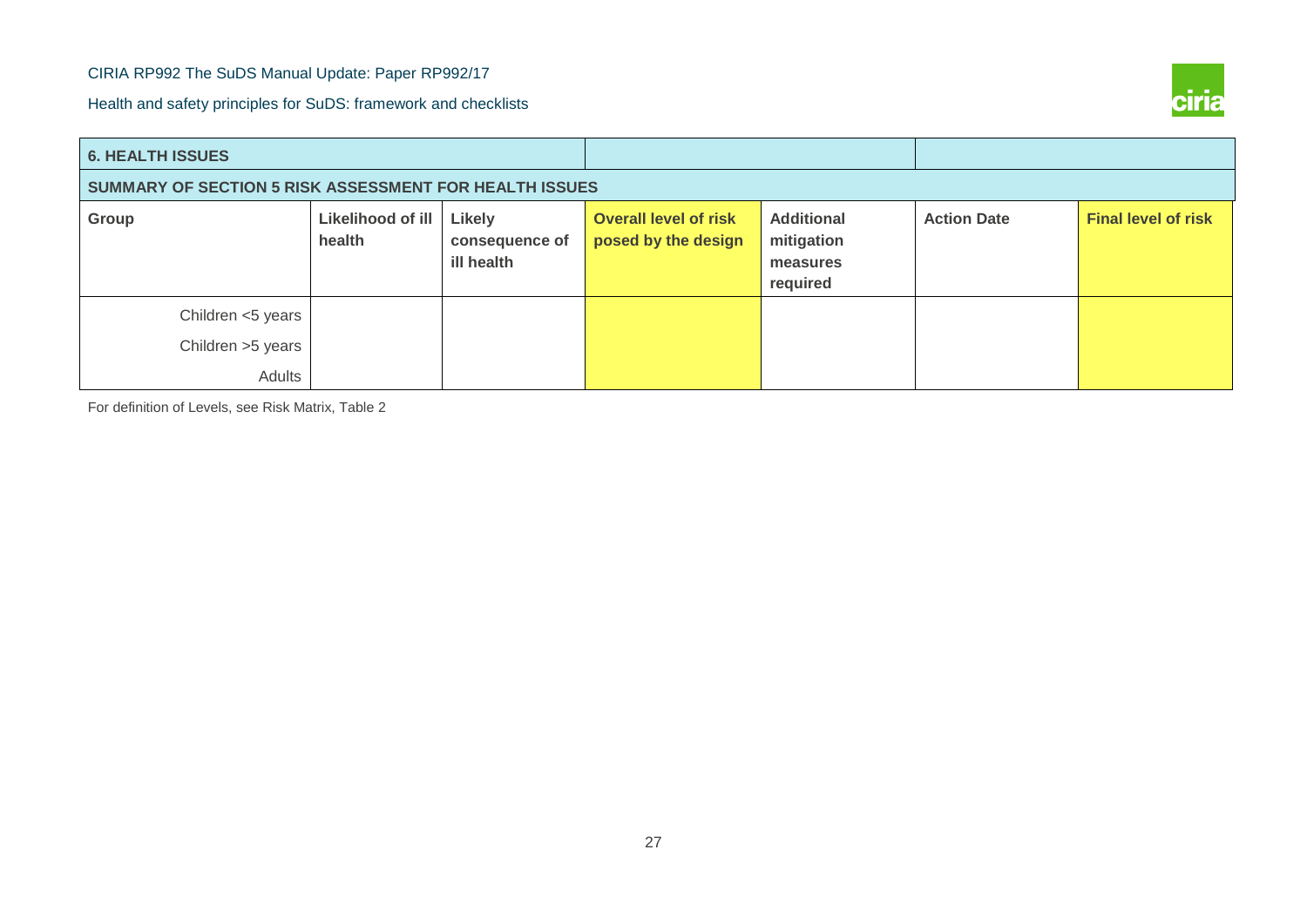Health and safety principles for SuDS: framework and checklists



| <b>6. HEALTH ISSUES</b>                                |                             |                                        |                                                     |                                                         |                    |                            |  |
|--------------------------------------------------------|-----------------------------|----------------------------------------|-----------------------------------------------------|---------------------------------------------------------|--------------------|----------------------------|--|
| SUMMARY OF SECTION 5 RISK ASSESSMENT FOR HEALTH ISSUES |                             |                                        |                                                     |                                                         |                    |                            |  |
| Group                                                  | Likelihood of ill<br>health | Likely<br>consequence of<br>ill health | <b>Overall level of risk</b><br>posed by the design | <b>Additional</b><br>mitigation<br>measures<br>required | <b>Action Date</b> | <b>Final level of risk</b> |  |
| Children <5 years<br>Children > 5 years<br>Adults      |                             |                                        |                                                     |                                                         |                    |                            |  |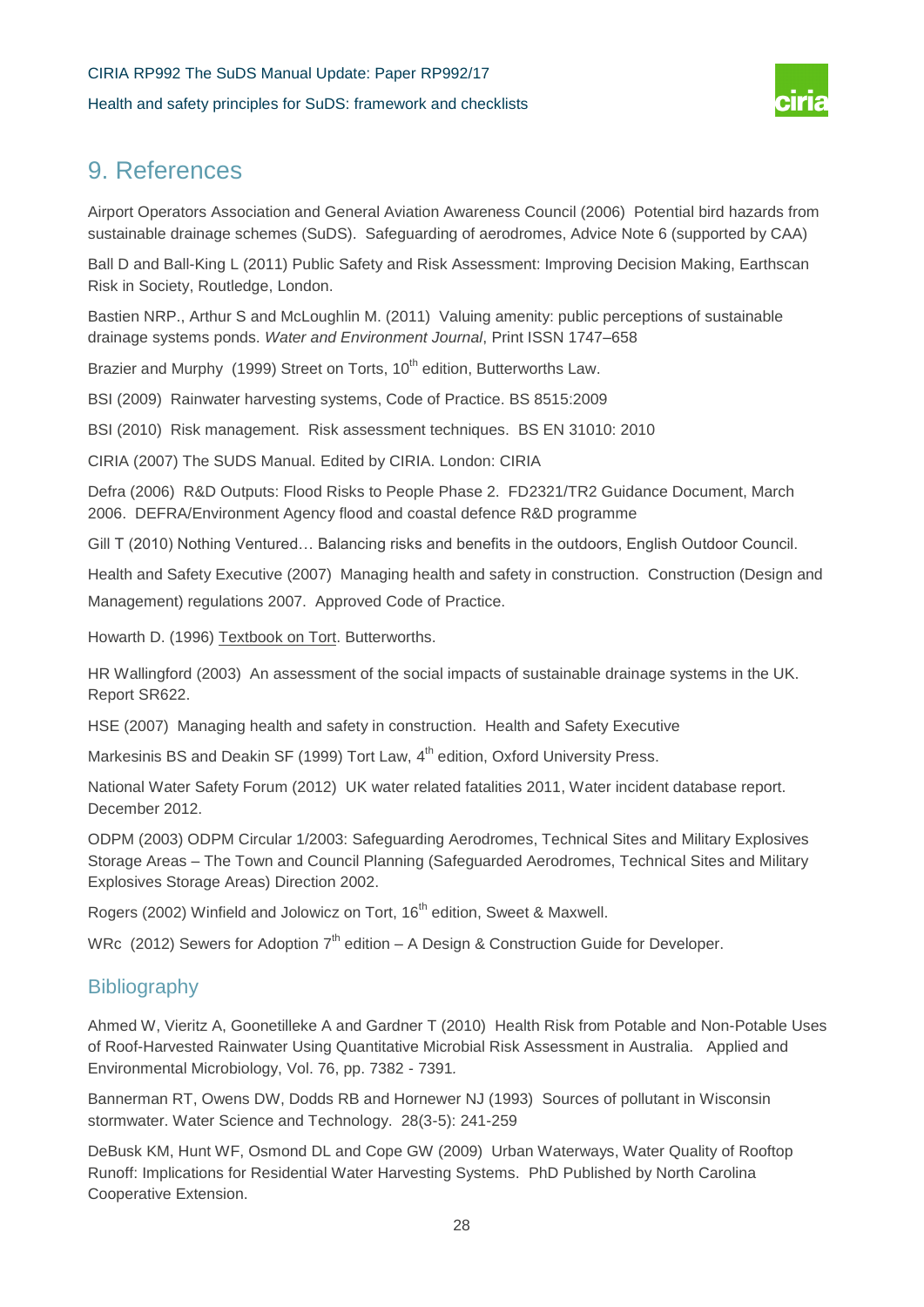

# 9. References

Airport Operators Association and General Aviation Awareness Council (2006) Potential bird hazards from sustainable drainage schemes (SuDS). Safeguarding of aerodromes, Advice Note 6 (supported by CAA)

Ball D and Ball-King L (2011) Public Safety and Risk Assessment: Improving Decision Making, Earthscan Risk in Society, Routledge, London.

Bastien NRP., Arthur S and McLoughlin M. (2011) Valuing amenity: public perceptions of sustainable drainage systems ponds. *Water and Environment Journal*, Print ISSN 1747–658

Brazier and Murphy (1999) Street on Torts, 10<sup>th</sup> edition, Butterworths Law.

BSI (2009) Rainwater harvesting systems, Code of Practice. BS 8515:2009

BSI (2010) Risk management. Risk assessment techniques. BS EN 31010: 2010

CIRIA (2007) The SUDS Manual. Edited by CIRIA. London: CIRIA

Defra (2006) R&D Outputs: Flood Risks to People Phase 2. FD2321/TR2 Guidance Document, March 2006. DEFRA/Environment Agency flood and coastal defence R&D programme

Gill T (2010) Nothing Ventured… Balancing risks and benefits in the outdoors, English Outdoor Council.

Health and Safety Executive (2007) Managing health and safety in construction. Construction (Design and Management) regulations 2007. Approved Code of Practice.

Howarth D. (1996) Textbook on Tort. Butterworths.

HR Wallingford (2003) An assessment of the social impacts of sustainable drainage systems in the UK. Report SR622.

HSE (2007) Managing health and safety in construction. Health and Safety Executive

Markesinis BS and Deakin SF (1999) Tort Law, 4<sup>th</sup> edition, Oxford University Press.

National Water Safety Forum (2012) UK water related fatalities 2011, Water incident database report. December 2012.

ODPM (2003) ODPM Circular 1/2003: Safeguarding Aerodromes, Technical Sites and Military Explosives Storage Areas – The Town and Council Planning (Safeguarded Aerodromes, Technical Sites and Military Explosives Storage Areas) Direction 2002.

Rogers (2002) Winfield and Jolowicz on Tort, 16<sup>th</sup> edition, Sweet & Maxwell.

WRc (2012) Sewers for Adoption  $7<sup>th</sup>$  edition – A Design & Construction Guide for Developer.

## **Bibliography**

Ahmed W, Vieritz A, Goonetilleke A and Gardner T (2010) Health Risk from Potable and Non-Potable Uses of Roof-Harvested Rainwater Using Quantitative Microbial Risk Assessment in Australia. Applied and Environmental Microbiology, Vol. 76, pp. 7382 - 7391*.*

Bannerman RT, Owens DW, Dodds RB and Hornewer NJ (1993) Sources of pollutant in Wisconsin stormwater. Water Science and Technology. 28(3-5): 241-259

DeBusk KM, Hunt WF, Osmond DL and Cope GW (2009) Urban Waterways, Water Quality of Rooftop Runoff: Implications for Residential Water Harvesting Systems. PhD Published by North Carolina Cooperative Extension.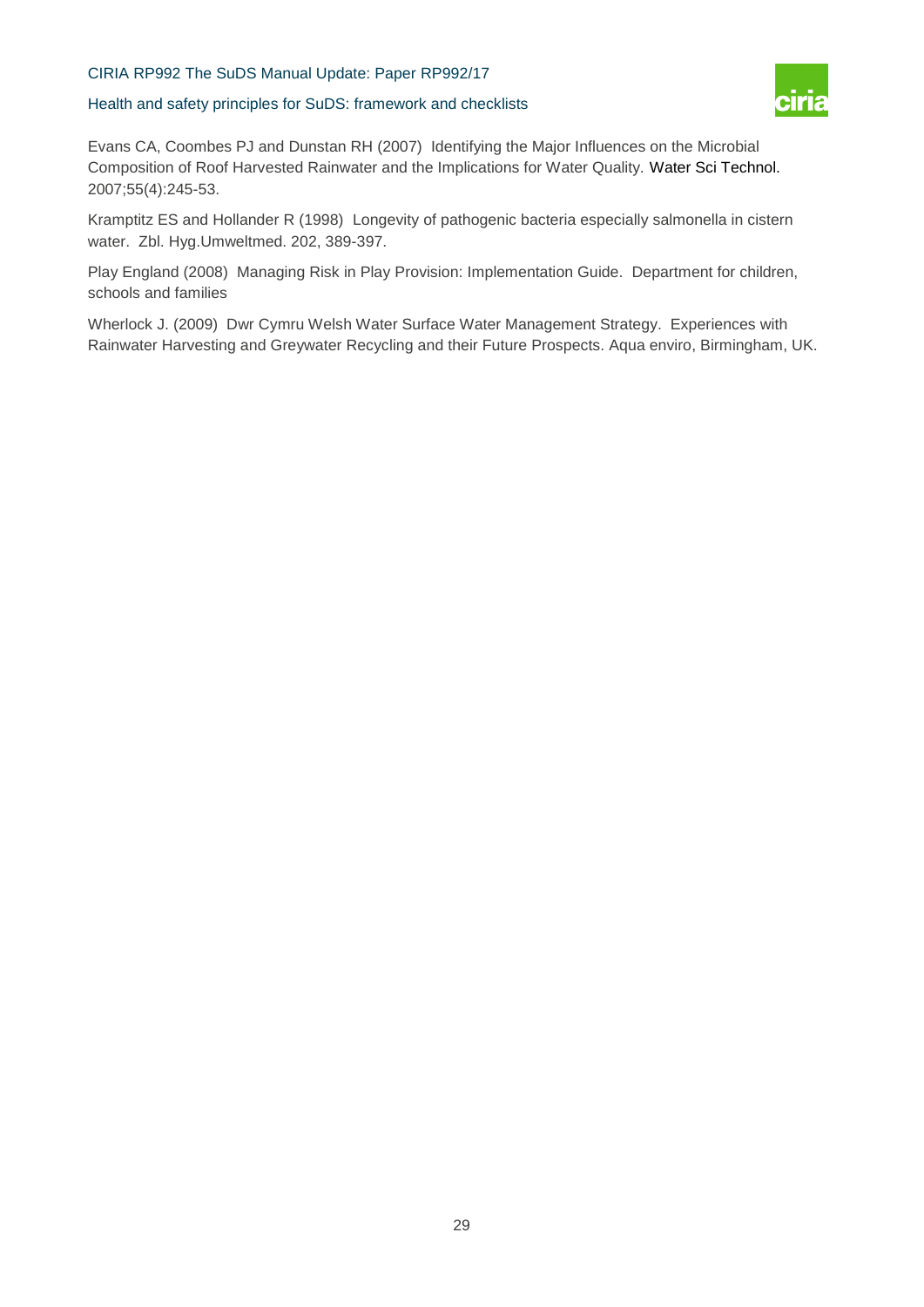Health and safety principles for SuDS: framework and checklists



Evans CA, Coombes PJ and Dunstan RH (2007) Identifying the Major Influences on the Microbial Composition of Roof Harvested Rainwater and the Implications for Water Quality. [Water Sci Technol.](http://www.ncbi.nlm.nih.gov/pubmed/17425092) 2007;55(4):245-53.

Kramptitz ES and Hollander R (1998) Longevity of pathogenic bacteria especially salmonella in cistern water. Zbl. Hyg.Umweltmed. 202, 389-397.

Play England (2008) Managing Risk in Play Provision: Implementation Guide. Department for children, schools and families

Wherlock J. (2009) Dwr Cymru Welsh Water Surface Water Management Strategy. Experiences with Rainwater Harvesting and Greywater Recycling and their Future Prospects. Aqua enviro, Birmingham, UK.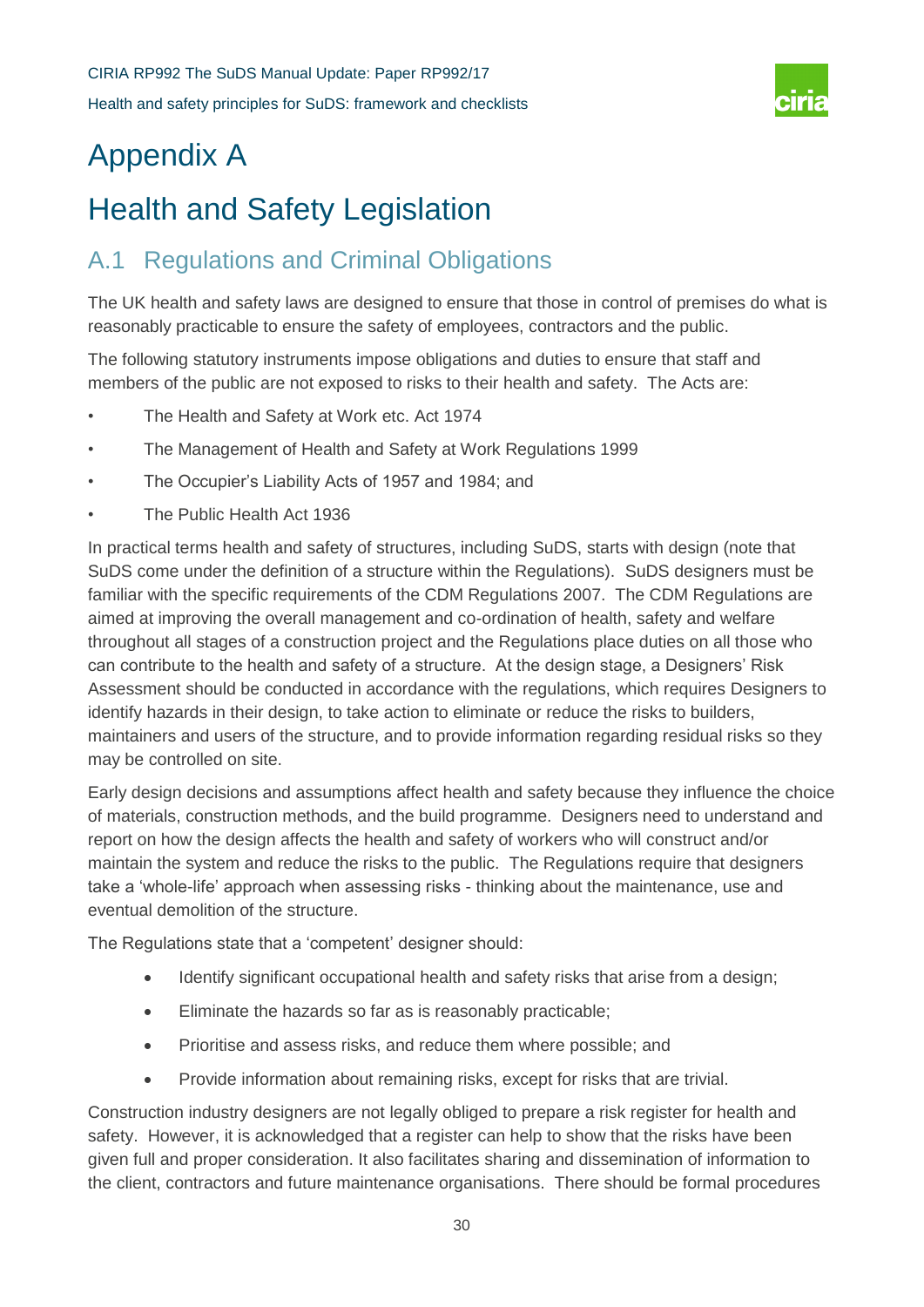

# Appendix A

# Health and Safety Legislation

# A.1 Regulations and Criminal Obligations

The UK health and safety laws are designed to ensure that those in control of premises do what is reasonably practicable to ensure the safety of employees, contractors and the public.

The following statutory instruments impose obligations and duties to ensure that staff and members of the public are not exposed to risks to their health and safety. The Acts are:

- The Health and Safety at Work etc. Act 1974
- The Management of Health and Safety at Work Regulations 1999
- The Occupier's Liability Acts of 1957 and 1984; and
- The Public Health Act 1936

In practical terms health and safety of structures, including SuDS, starts with design (note that SuDS come under the definition of a structure within the Regulations). SuDS designers must be familiar with the specific requirements of the CDM Regulations 2007. The CDM Regulations are aimed at improving the overall management and co-ordination of health, safety and welfare throughout all stages of a construction project and the Regulations place duties on all those who can contribute to the health and safety of a structure. At the design stage, a Designers' Risk Assessment should be conducted in accordance with the regulations, which requires Designers to identify hazards in their design, to take action to eliminate or reduce the risks to builders, maintainers and users of the structure, and to provide information regarding residual risks so they may be controlled on site.

Early design decisions and assumptions affect health and safety because they influence the choice of materials, construction methods, and the build programme. Designers need to understand and report on how the design affects the health and safety of workers who will construct and/or maintain the system and reduce the risks to the public. The Regulations require that designers take a 'whole-life' approach when assessing risks - thinking about the maintenance, use and eventual demolition of the structure.

The Regulations state that a 'competent' designer should:

- Identify significant occupational health and safety risks that arise from a design;
- Eliminate the hazards so far as is reasonably practicable;
- Prioritise and assess risks, and reduce them where possible; and
- Provide information about remaining risks, except for risks that are trivial.

Construction industry designers are not legally obliged to prepare a risk register for health and safety. However, it is acknowledged that a register can help to show that the risks have been given full and proper consideration. It also facilitates sharing and dissemination of information to the client, contractors and future maintenance organisations. There should be formal procedures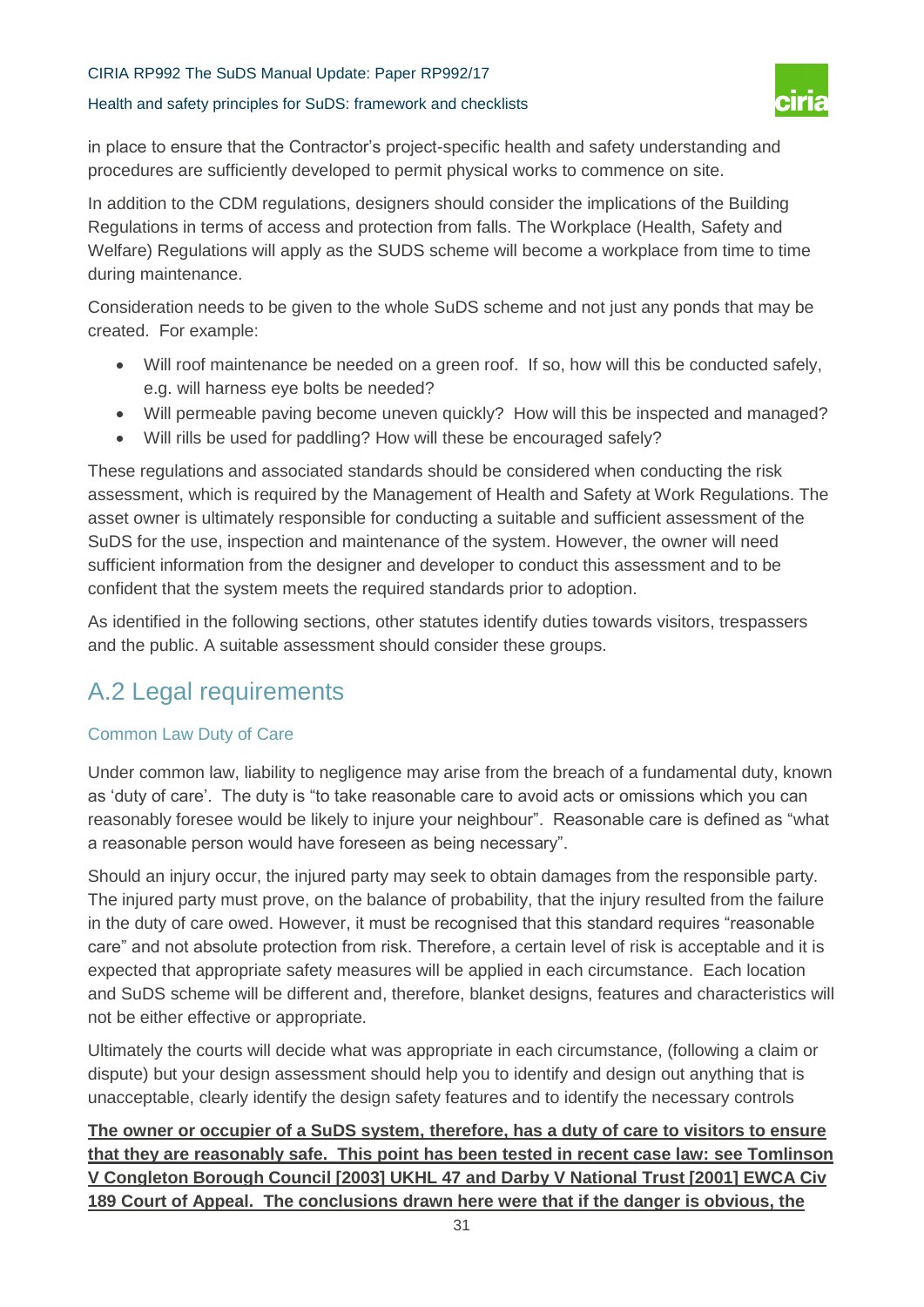#### Health and safety principles for SuDS: framework and checklists



in place to ensure that the Contractor's project-specific health and safety understanding and procedures are sufficiently developed to permit physical works to commence on site.

In addition to the CDM regulations, designers should consider the implications of the Building Regulations in terms of access and protection from falls. The Workplace (Health, Safety and Welfare) Regulations will apply as the SUDS scheme will become a workplace from time to time during maintenance.

Consideration needs to be given to the whole SuDS scheme and not just any ponds that may be created. For example:

- Will roof maintenance be needed on a green roof. If so, how will this be conducted safely, e.g. will harness eye bolts be needed?
- Will permeable paving become uneven quickly? How will this be inspected and managed?
- Will rills be used for paddling? How will these be encouraged safely?

These regulations and associated standards should be considered when conducting the risk assessment, which is required by the Management of Health and Safety at Work Regulations. The asset owner is ultimately responsible for conducting a suitable and sufficient assessment of the SuDS for the use, inspection and maintenance of the system. However, the owner will need sufficient information from the designer and developer to conduct this assessment and to be confident that the system meets the required standards prior to adoption.

As identified in the following sections, other statutes identify duties towards visitors, trespassers and the public. A suitable assessment should consider these groups.

# A.2 Legal requirements

#### Common Law Duty of Care

Under common law, liability to negligence may arise from the breach of a fundamental duty, known as 'duty of care'. The duty is "to take reasonable care to avoid acts or omissions which you can reasonably foresee would be likely to injure your neighbour". Reasonable care is defined as "what a reasonable person would have foreseen as being necessary".

Should an injury occur, the injured party may seek to obtain damages from the responsible party. The injured party must prove, on the balance of probability, that the injury resulted from the failure in the duty of care owed. However, it must be recognised that this standard requires "reasonable care" and not absolute protection from risk. Therefore, a certain level of risk is acceptable and it is expected that appropriate safety measures will be applied in each circumstance. Each location and SuDS scheme will be different and, therefore, blanket designs, features and characteristics will not be either effective or appropriate.

Ultimately the courts will decide what was appropriate in each circumstance, (following a claim or dispute) but your design assessment should help you to identify and design out anything that is unacceptable, clearly identify the design safety features and to identify the necessary controls

**The owner or occupier of a SuDS system, therefore, has a duty of care to visitors to ensure that they are reasonably safe. This point has been tested in recent case law: see Tomlinson V Congleton Borough Council [2003] UKHL 47 and Darby V National Trust [2001] EWCA Civ 189 Court of Appeal. The conclusions drawn here were that if the danger is obvious, the**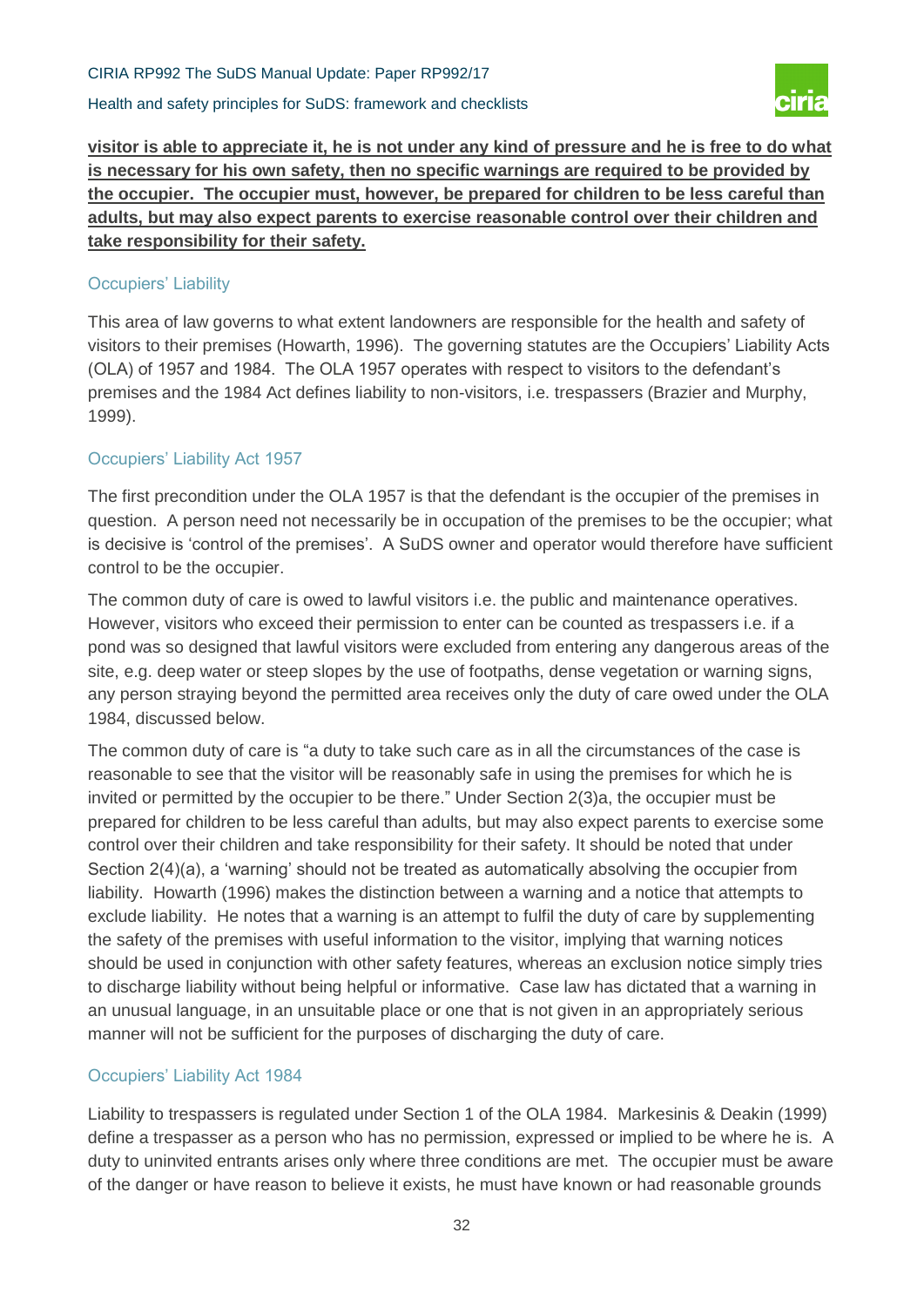Health and safety principles for SuDS: framework and checklists



**visitor is able to appreciate it, he is not under any kind of pressure and he is free to do what is necessary for his own safety, then no specific warnings are required to be provided by the occupier. The occupier must, however, be prepared for children to be less careful than adults, but may also expect parents to exercise reasonable control over their children and take responsibility for their safety.** 

#### Occupiers' Liability

This area of law governs to what extent landowners are responsible for the health and safety of visitors to their premises (Howarth, 1996). The governing statutes are the Occupiers' Liability Acts (OLA) of 1957 and 1984. The OLA 1957 operates with respect to visitors to the defendant's premises and the 1984 Act defines liability to non-visitors, i.e. trespassers (Brazier and Murphy, 1999).

### Occupiers' Liability Act 1957

The first precondition under the OLA 1957 is that the defendant is the occupier of the premises in question. A person need not necessarily be in occupation of the premises to be the occupier; what is decisive is 'control of the premises'. A SuDS owner and operator would therefore have sufficient control to be the occupier.

The common duty of care is owed to lawful visitors i.e. the public and maintenance operatives. However, visitors who exceed their permission to enter can be counted as trespassers i.e. if a pond was so designed that lawful visitors were excluded from entering any dangerous areas of the site, e.g. deep water or steep slopes by the use of footpaths, dense vegetation or warning signs, any person straying beyond the permitted area receives only the duty of care owed under the OLA 1984, discussed below.

The common duty of care is "a duty to take such care as in all the circumstances of the case is reasonable to see that the visitor will be reasonably safe in using the premises for which he is invited or permitted by the occupier to be there." Under Section 2(3)a, the occupier must be prepared for children to be less careful than adults, but may also expect parents to exercise some control over their children and take responsibility for their safety. It should be noted that under Section 2(4)(a), a 'warning' should not be treated as automatically absolving the occupier from liability. Howarth (1996) makes the distinction between a warning and a notice that attempts to exclude liability. He notes that a warning is an attempt to fulfil the duty of care by supplementing the safety of the premises with useful information to the visitor, implying that warning notices should be used in conjunction with other safety features, whereas an exclusion notice simply tries to discharge liability without being helpful or informative. Case law has dictated that a warning in an unusual language, in an unsuitable place or one that is not given in an appropriately serious manner will not be sufficient for the purposes of discharging the duty of care.

#### Occupiers' Liability Act 1984

Liability to trespassers is regulated under Section 1 of the OLA 1984. Markesinis & Deakin (1999) define a trespasser as a person who has no permission, expressed or implied to be where he is. A duty to uninvited entrants arises only where three conditions are met. The occupier must be aware of the danger or have reason to believe it exists, he must have known or had reasonable grounds